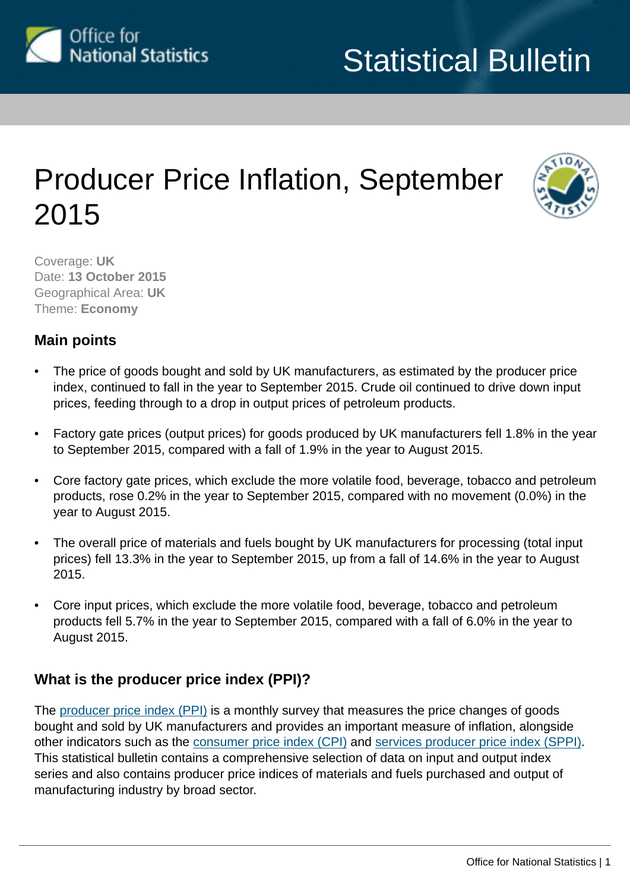

# Producer Price Inflation, September 2015



Coverage: **UK** Date: **13 October 2015** Geographical Area: **UK** Theme: **Economy**

## **Main points**

- The price of goods bought and sold by UK manufacturers, as estimated by the producer price index, continued to fall in the year to September 2015. Crude oil continued to drive down input prices, feeding through to a drop in output prices of petroleum products.
- Factory gate prices (output prices) for goods produced by UK manufacturers fell 1.8% in the year to September 2015, compared with a fall of 1.9% in the year to August 2015.
- Core factory gate prices, which exclude the more volatile food, beverage, tobacco and petroleum products, rose 0.2% in the year to September 2015, compared with no movement (0.0%) in the year to August 2015.
- The overall price of materials and fuels bought by UK manufacturers for processing (total input prices) fell 13.3% in the year to September 2015, up from a fall of 14.6% in the year to August 2015.
- Core input prices, which exclude the more volatile food, beverage, tobacco and petroleum products fell 5.7% in the year to September 2015, compared with a fall of 6.0% in the year to August 2015.

## **What is the producer price index (PPI)?**

The [producer price index \(PPI\)](http://www.ons.gov.uk/ons/taxonomy/index.html?nscl=Producer+Price+Indices) is a monthly survey that measures the price changes of goods bought and sold by UK manufacturers and provides an important measure of inflation, alongside other indicators such as the [consumer price index \(CPI\)](http://www.ons.gov.uk/ons/taxonomy/index.html?nscl=Consumer+Price+Indices) and [services producer price index \(SPPI\).](http://www.ons.gov.uk/ons/taxonomy/index.html?nscl=Services+Producer+Price+Indices) This statistical bulletin contains a comprehensive selection of data on input and output index series and also contains producer price indices of materials and fuels purchased and output of manufacturing industry by broad sector.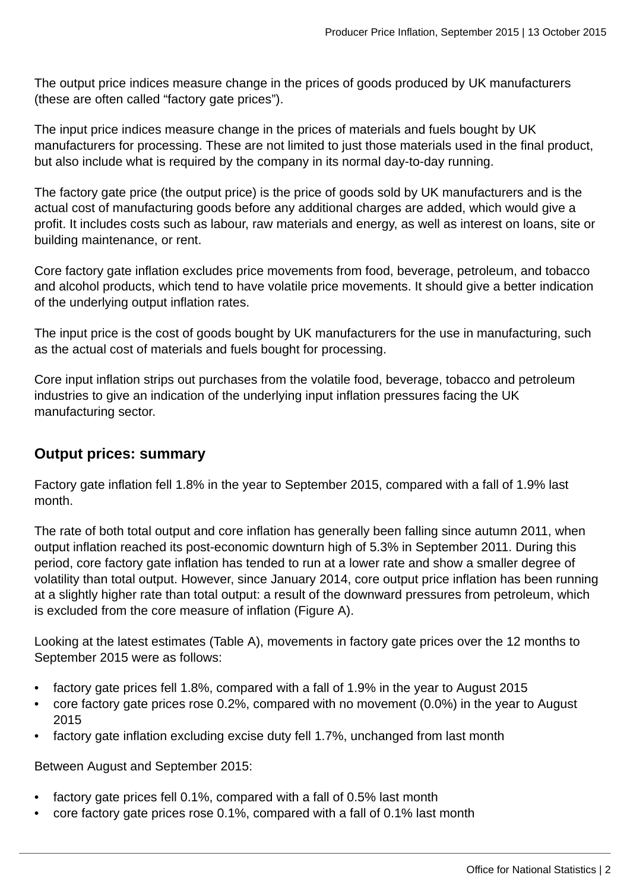The output price indices measure change in the prices of goods produced by UK manufacturers (these are often called "factory gate prices").

The input price indices measure change in the prices of materials and fuels bought by UK manufacturers for processing. These are not limited to just those materials used in the final product, but also include what is required by the company in its normal day-to-day running.

The factory gate price (the output price) is the price of goods sold by UK manufacturers and is the actual cost of manufacturing goods before any additional charges are added, which would give a profit. It includes costs such as labour, raw materials and energy, as well as interest on loans, site or building maintenance, or rent.

Core factory gate inflation excludes price movements from food, beverage, petroleum, and tobacco and alcohol products, which tend to have volatile price movements. It should give a better indication of the underlying output inflation rates.

The input price is the cost of goods bought by UK manufacturers for the use in manufacturing, such as the actual cost of materials and fuels bought for processing.

Core input inflation strips out purchases from the volatile food, beverage, tobacco and petroleum industries to give an indication of the underlying input inflation pressures facing the UK manufacturing sector.

### **Output prices: summary**

Factory gate inflation fell 1.8% in the year to September 2015, compared with a fall of 1.9% last month.

The rate of both total output and core inflation has generally been falling since autumn 2011, when output inflation reached its post-economic downturn high of 5.3% in September 2011. During this period, core factory gate inflation has tended to run at a lower rate and show a smaller degree of volatility than total output. However, since January 2014, core output price inflation has been running at a slightly higher rate than total output: a result of the downward pressures from petroleum, which is excluded from the core measure of inflation (Figure A).

Looking at the latest estimates (Table A), movements in factory gate prices over the 12 months to September 2015 were as follows:

- factory gate prices fell 1.8%, compared with a fall of 1.9% in the year to August 2015
- core factory gate prices rose 0.2%, compared with no movement (0.0%) in the year to August 2015
- factory gate inflation excluding excise duty fell 1.7%, unchanged from last month

Between August and September 2015:

- factory gate prices fell 0.1%, compared with a fall of 0.5% last month
- core factory gate prices rose 0.1%, compared with a fall of 0.1% last month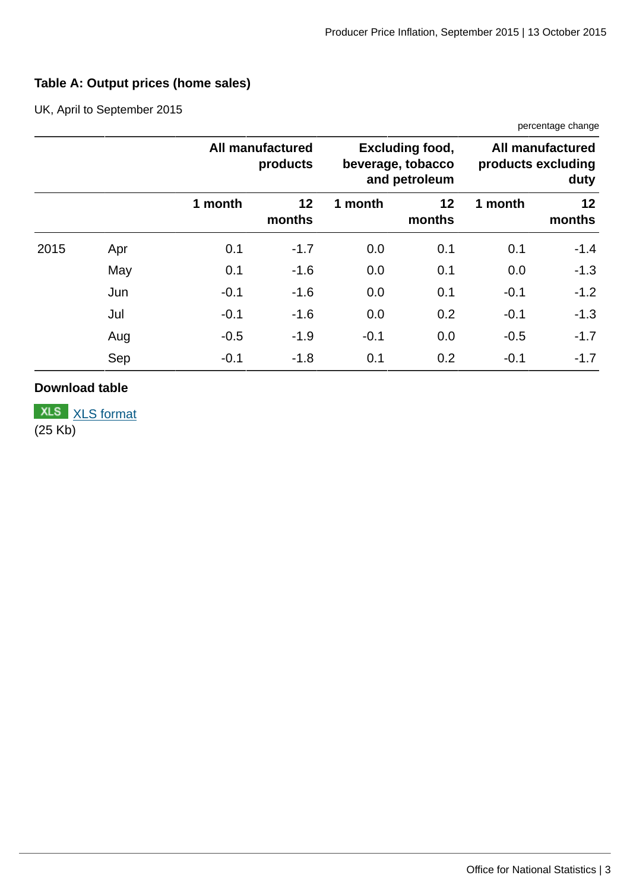## **Table A: Output prices (home sales)**

UK, April to September 2015

|      |     |         |                                     |         |                                                              |                                                       | percentage change |  |
|------|-----|---------|-------------------------------------|---------|--------------------------------------------------------------|-------------------------------------------------------|-------------------|--|
|      |     |         | <b>All manufactured</b><br>products |         | <b>Excluding food,</b><br>beverage, tobacco<br>and petroleum | <b>All manufactured</b><br>products excluding<br>duty |                   |  |
|      |     | 1 month | 12<br>months                        | 1 month | 12<br>months                                                 | 1 month                                               | 12<br>months      |  |
| 2015 | Apr | 0.1     | $-1.7$                              | 0.0     | 0.1                                                          | 0.1                                                   | $-1.4$            |  |
|      | May | 0.1     | $-1.6$                              | 0.0     | 0.1                                                          | 0.0                                                   | $-1.3$            |  |
|      | Jun | $-0.1$  | $-1.6$                              | 0.0     | 0.1                                                          | $-0.1$                                                | $-1.2$            |  |
|      | Jul | $-0.1$  | $-1.6$                              | 0.0     | 0.2                                                          | $-0.1$                                                | $-1.3$            |  |
|      | Aug | $-0.5$  | $-1.9$                              | $-0.1$  | 0.0                                                          | $-0.5$                                                | $-1.7$            |  |
|      | Sep | $-0.1$  | $-1.8$                              | 0.1     | 0.2                                                          | $-0.1$                                                | $-1.7$            |  |

#### **Download table**

**XLS** [XLS format](http://www.ons.gov.uk:80/ons/rel/ppi2/producer-price-index/september-2015/prt-a--output-prices--hs--september-2015.xls) (25 Kb)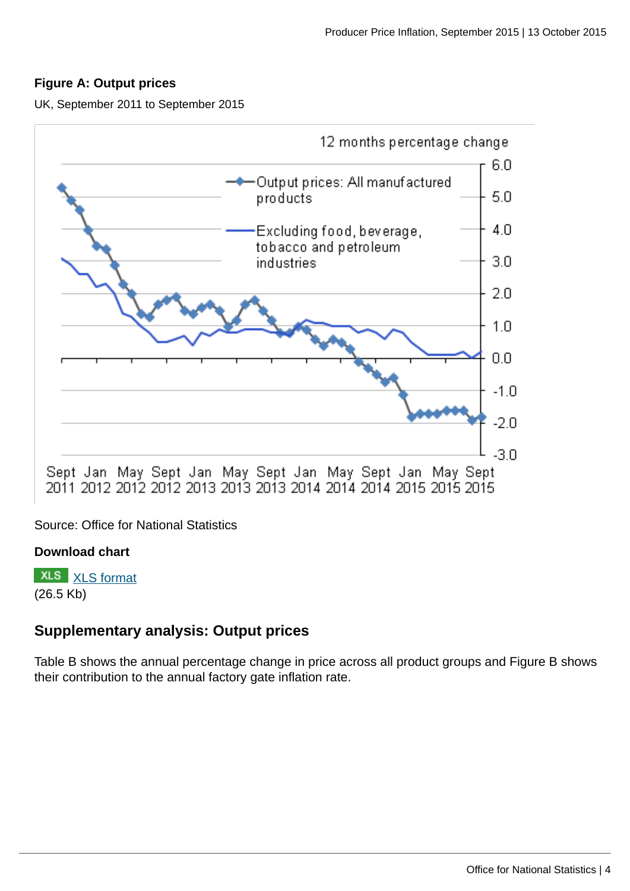#### **Figure A: Output prices**

UK, September 2011 to September 2015



Source: Office for National Statistics

#### **Download chart**

**XLS** [XLS format](http://www.ons.gov.uk:80/ons/rel/ppi2/producer-price-index/september-2015/chd-fig-a-output-september-2015-12mth-pc-chg.xls) (26.5 Kb)

#### **Supplementary analysis: Output prices**

Table B shows the annual percentage change in price across all product groups and Figure B shows their contribution to the annual factory gate inflation rate.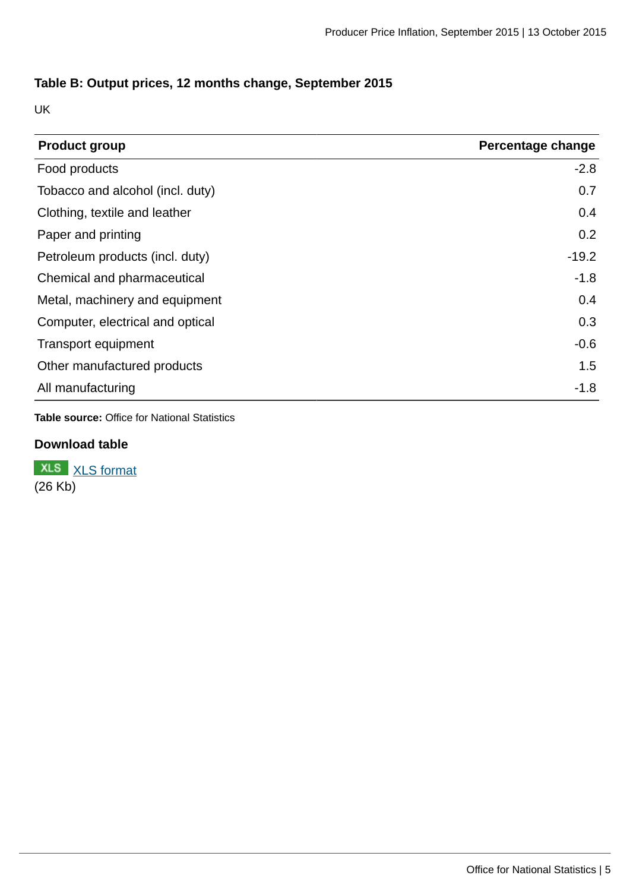#### **Table B: Output prices, 12 months change, September 2015**

UK

| <b>Product group</b>             | Percentage change |
|----------------------------------|-------------------|
| Food products                    | $-2.8$            |
| Tobacco and alcohol (incl. duty) | 0.7               |
| Clothing, textile and leather    | 0.4               |
| Paper and printing               | 0.2               |
| Petroleum products (incl. duty)  | $-19.2$           |
| Chemical and pharmaceutical      | $-1.8$            |
| Metal, machinery and equipment   | 0.4               |
| Computer, electrical and optical | 0.3               |
| Transport equipment              | $-0.6$            |
| Other manufactured products      | 1.5               |
| All manufacturing                | $-1.8$            |

**Table source:** Office for National Statistics

#### **Download table**

**XLS** [XLS format](http://www.ons.gov.uk:80/ons/rel/ppi2/producer-price-index/september-2015/prt-table-b-output-12mth-september-2015.xls) (26 Kb)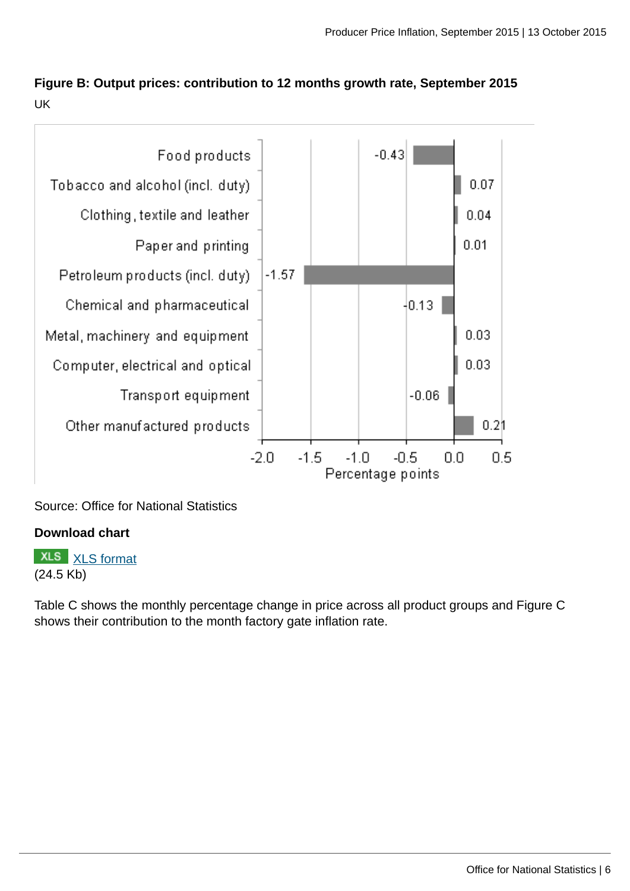## **Figure B: Output prices: contribution to 12 months growth rate, September 2015** UK



Source: Office for National Statistics

#### **Download chart**

**XLS** [XLS format](http://www.ons.gov.uk:80/ons/rel/ppi2/producer-price-index/september-2015/chd-fig-b-output-september-2015-12mth-contrib.xls) (24.5 Kb)

Table C shows the monthly percentage change in price across all product groups and Figure C shows their contribution to the month factory gate inflation rate.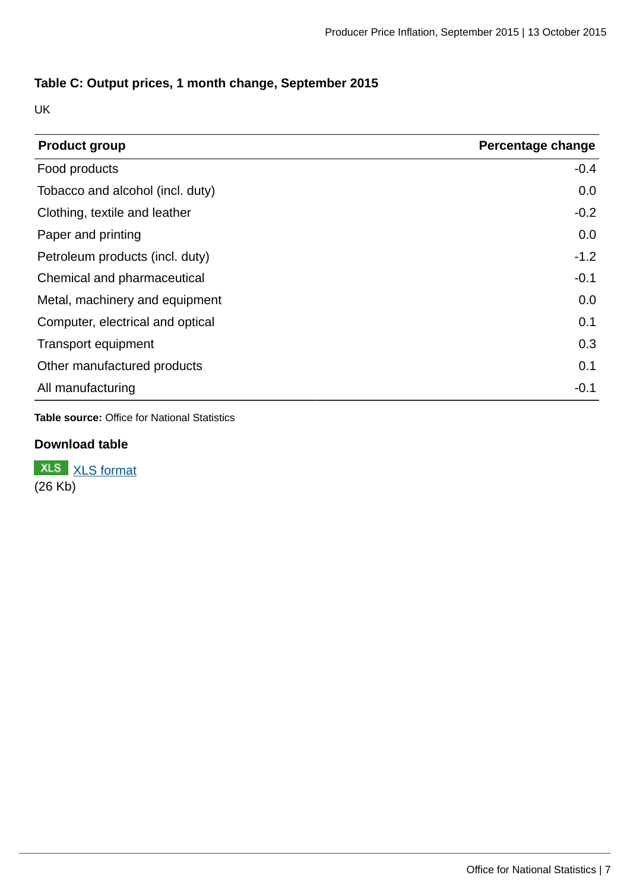#### **Table C: Output prices, 1 month change, September 2015**

UK

| <b>Product group</b>             | Percentage change |
|----------------------------------|-------------------|
| Food products                    | $-0.4$            |
| Tobacco and alcohol (incl. duty) | 0.0               |
| Clothing, textile and leather    | $-0.2$            |
| Paper and printing               | 0.0               |
| Petroleum products (incl. duty)  | $-1.2$            |
| Chemical and pharmaceutical      | $-0.1$            |
| Metal, machinery and equipment   | 0.0               |
| Computer, electrical and optical | 0.1               |
| <b>Transport equipment</b>       | 0.3               |
| Other manufactured products      | 0.1               |
| All manufacturing                | $-0.1$            |

**Table source:** Office for National Statistics

#### **Download table**

**XLS** [XLS format](http://www.ons.gov.uk:80/ons/rel/ppi2/producer-price-index/september-2015/prt-table-c-output-1mth-september-2015.xls) (26 Kb)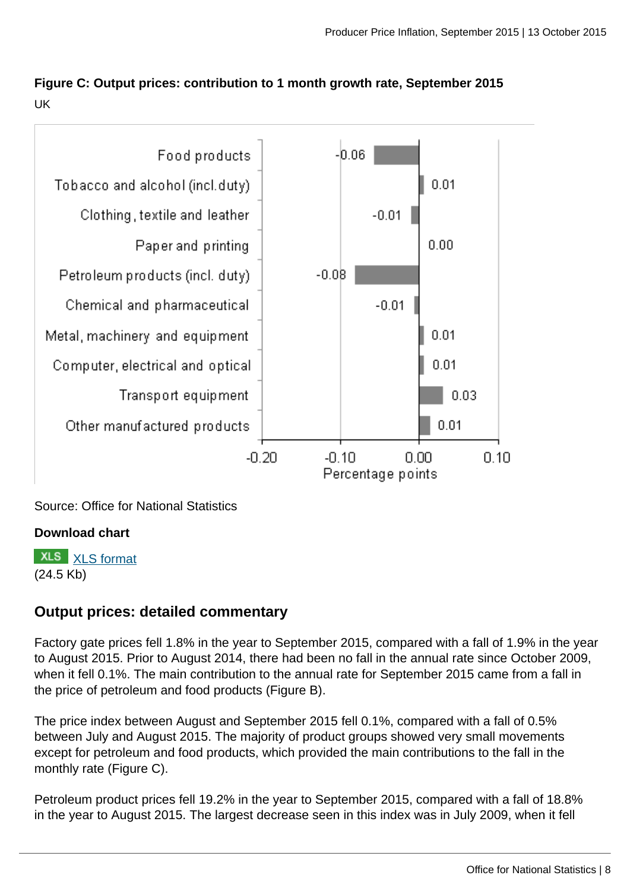## **Figure C: Output prices: contribution to 1 month growth rate, September 2015** UK



Source: Office for National Statistics

#### **Download chart**

**XLS** [XLS format](http://www.ons.gov.uk:80/ons/rel/ppi2/producer-price-index/september-2015/chd-fig-c-output-september-2015-1mth-contrib.xls) (24.5 Kb)

## **Output prices: detailed commentary**

Factory gate prices fell 1.8% in the year to September 2015, compared with a fall of 1.9% in the year to August 2015. Prior to August 2014, there had been no fall in the annual rate since October 2009, when it fell 0.1%. The main contribution to the annual rate for September 2015 came from a fall in the price of petroleum and food products (Figure B).

The price index between August and September 2015 fell 0.1%, compared with a fall of 0.5% between July and August 2015. The majority of product groups showed very small movements except for petroleum and food products, which provided the main contributions to the fall in the monthly rate (Figure C).

Petroleum product prices fell 19.2% in the year to September 2015, compared with a fall of 18.8% in the year to August 2015. The largest decrease seen in this index was in July 2009, when it fell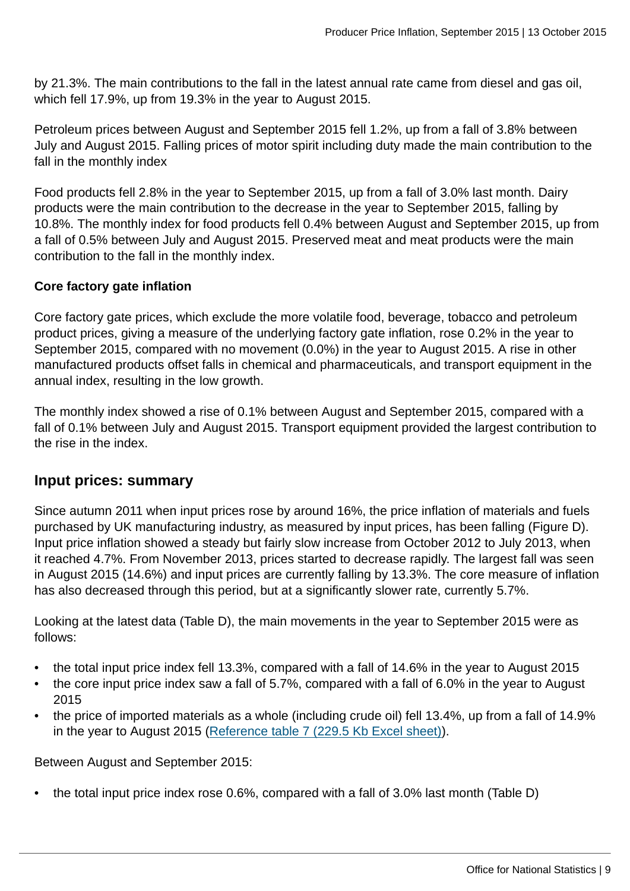by 21.3%. The main contributions to the fall in the latest annual rate came from diesel and gas oil, which fell 17.9%, up from 19.3% in the year to August 2015.

Petroleum prices between August and September 2015 fell 1.2%, up from a fall of 3.8% between July and August 2015. Falling prices of motor spirit including duty made the main contribution to the fall in the monthly index

Food products fell 2.8% in the year to September 2015, up from a fall of 3.0% last month. Dairy products were the main contribution to the decrease in the year to September 2015, falling by 10.8%. The monthly index for food products fell 0.4% between August and September 2015, up from a fall of 0.5% between July and August 2015. Preserved meat and meat products were the main contribution to the fall in the monthly index.

#### **Core factory gate inflation**

Core factory gate prices, which exclude the more volatile food, beverage, tobacco and petroleum product prices, giving a measure of the underlying factory gate inflation, rose 0.2% in the year to September 2015, compared with no movement (0.0%) in the year to August 2015. A rise in other manufactured products offset falls in chemical and pharmaceuticals, and transport equipment in the annual index, resulting in the low growth.

The monthly index showed a rise of 0.1% between August and September 2015, compared with a fall of 0.1% between July and August 2015. Transport equipment provided the largest contribution to the rise in the index.

#### **Input prices: summary**

Since autumn 2011 when input prices rose by around 16%, the price inflation of materials and fuels purchased by UK manufacturing industry, as measured by input prices, has been falling (Figure D). Input price inflation showed a steady but fairly slow increase from October 2012 to July 2013, when it reached 4.7%. From November 2013, prices started to decrease rapidly. The largest fall was seen in August 2015 (14.6%) and input prices are currently falling by 13.3%. The core measure of inflation has also decreased through this period, but at a significantly slower rate, currently 5.7%.

Looking at the latest data (Table D), the main movements in the year to September 2015 were as follows:

- the total input price index fell 13.3%, compared with a fall of 14.6% in the year to August 2015
- the core input price index saw a fall of 5.7%, compared with a fall of 6.0% in the year to August 2015
- the price of imported materials as a whole (including crude oil) fell 13.4%, up from a fall of 14.9% in the year to August 2015 ([Reference table 7 \(229.5 Kb Excel sheet\)](http://www.ons.gov.uk:80/ons/rel/ppi2/producer-price-index/september-2015/rft-stat-bull-tables-september-2015.xls)).

Between August and September 2015:

• the total input price index rose 0.6%, compared with a fall of 3.0% last month (Table D)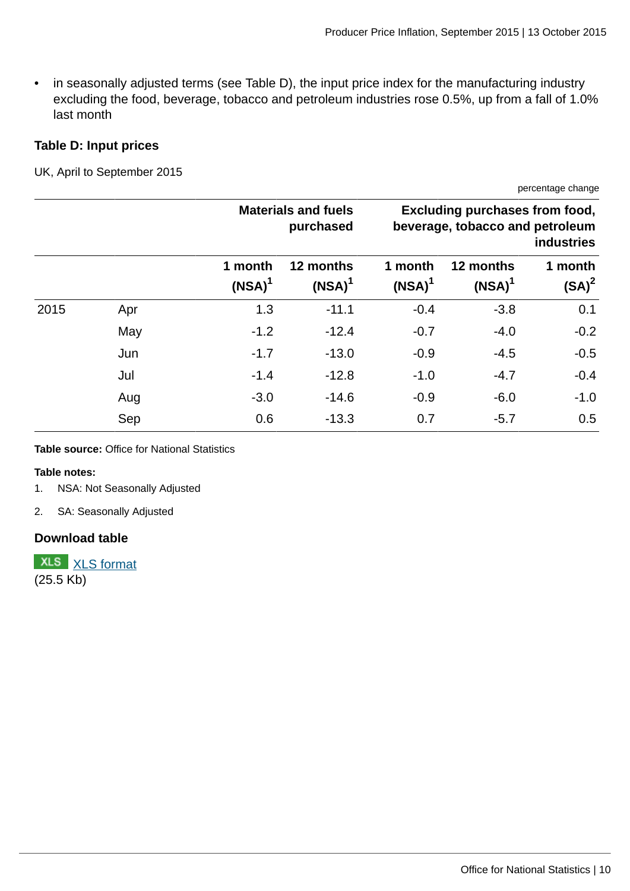• in seasonally adjusted terms (see Table D), the input price index for the manufacturing industry excluding the food, beverage, tobacco and petroleum industries rose 0.5%, up from a fall of 1.0% last month

#### **Table D: Input prices**

UK, April to September 2015

**Materials and fuels purchased Excluding purchases from food, beverage, tobacco and petroleum industries 1 month (NSA)<sup>1</sup> 12 months (NSA)<sup>1</sup> 1 month (NSA)<sup>1</sup> 12 months (NSA)<sup>1</sup> 1 month (SA)<sup>2</sup>** 2015 Apr 1.3 -11.1 -0.4 -3.8 0.1 May -1.2 -12.4 -0.7 -4.0 -0.2 Jun -1.7 -13.0 -0.9 -4.5 -0.5 Jul -1.4 -12.8 -1.0 -4.7 -0.4 Aug -3.0 -14.6 -0.9 -6.0 -1.0 Sep 0.6 -13.3 0.7 -5.7 0.5

**Table source:** Office for National Statistics

#### **Table notes:**

- 1. NSA: Not Seasonally Adjusted
- 2. SA: Seasonally Adjusted

#### **Download table**

**XLS** [XLS format](http://www.ons.gov.uk:80/ons/rel/ppi2/producer-price-index/september-2015/prt-table-d-input-prices-september-2015.xls) (25.5 Kb)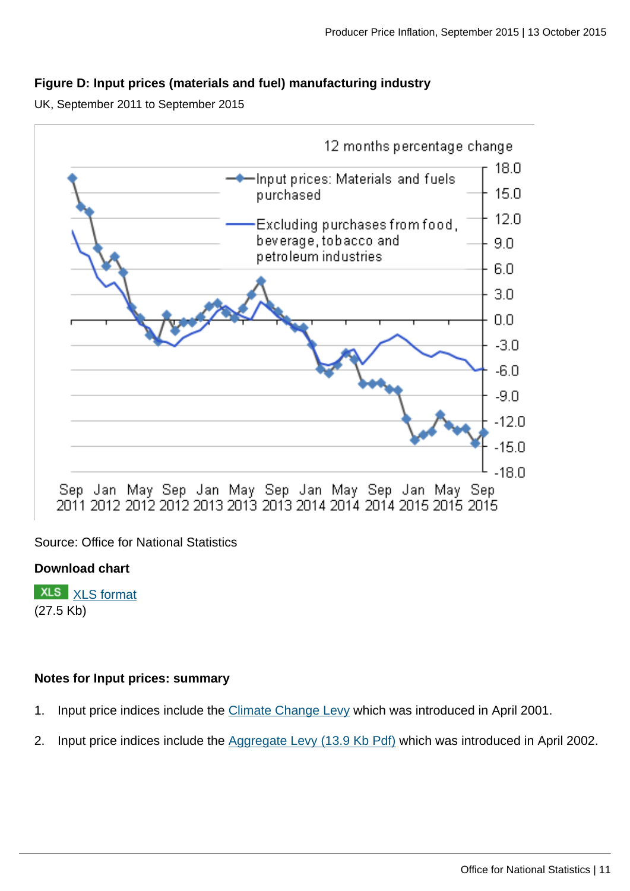#### **Figure D: Input prices (materials and fuel) manufacturing industry**

UK, September 2011 to September 2015



Source: Office for National Statistics

#### **Download chart**

**XLS** [XLS format](http://www.ons.gov.uk:80/ons/rel/ppi2/producer-price-index/september-2015/chd-fig-d-sum-input-september-2015-12mth-pc-chg.xls) (27.5 Kb)

#### **Notes for Input prices: summary**

- 1. Input price indices include the [Climate Change Levy](https://www.gov.uk/green-taxes-and-reliefs/climate-change-levy) which was introduced in April 2001.
- 2. Input price indices include the [Aggregate Levy \(13.9 Kb Pdf\)](http://www.ons.gov.uk:80/ons/guide-method/user-guidance/prices/ppi/aggregates-levy.pdf) which was introduced in April 2002.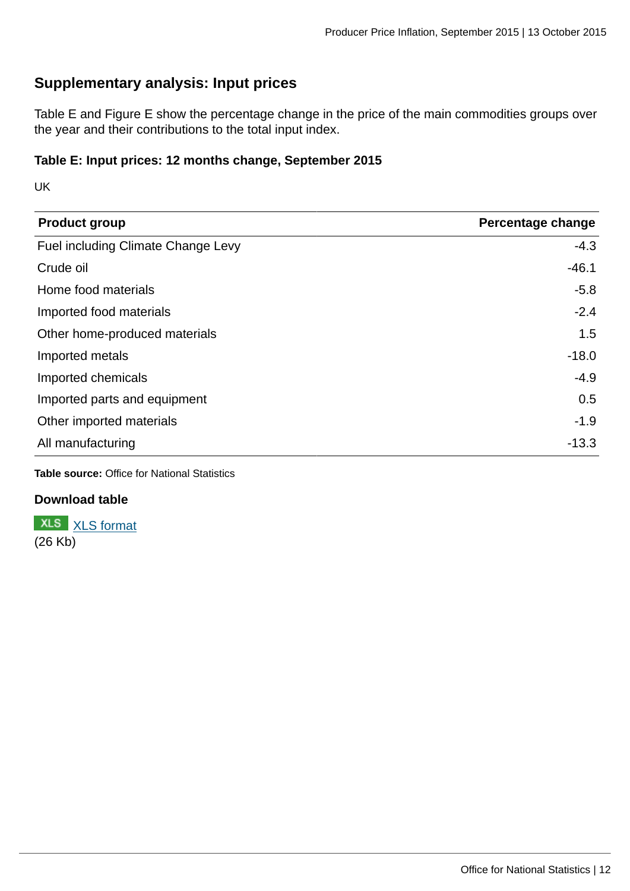## **Supplementary analysis: Input prices**

Table E and Figure E show the percentage change in the price of the main commodities groups over the year and their contributions to the total input index.

#### **Table E: Input prices: 12 months change, September 2015**

UK

| <b>Product group</b>               | Percentage change |
|------------------------------------|-------------------|
| Fuel including Climate Change Levy | $-4.3$            |
| Crude oil                          | $-46.1$           |
| Home food materials                | $-5.8$            |
| Imported food materials            | $-2.4$            |
| Other home-produced materials      | 1.5               |
| Imported metals                    | $-18.0$           |
| Imported chemicals                 | $-4.9$            |
| Imported parts and equipment       | 0.5               |
| Other imported materials           | $-1.9$            |
| All manufacturing                  | $-13.3$           |

**Table source:** Office for National Statistics

#### **Download table**

**XLS** [XLS format](http://www.ons.gov.uk:80/ons/rel/ppi2/producer-price-index/september-2015/prt-table-e-input-12mth-september-2015.xls) (26 Kb)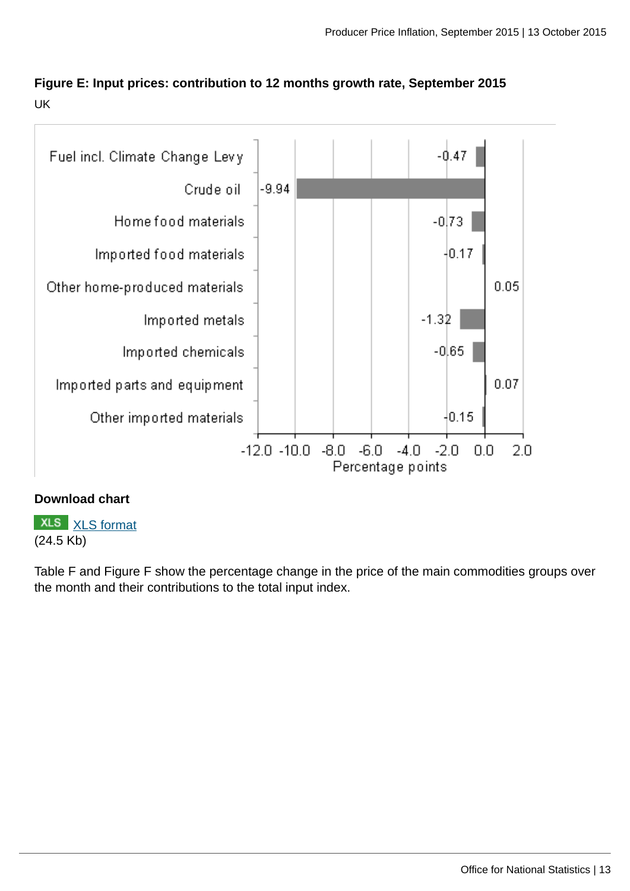**Figure E: Input prices: contribution to 12 months growth rate, September 2015** UK



#### **Download chart**

**XLS** [XLS format](http://www.ons.gov.uk:80/ons/rel/ppi2/producer-price-index/september-2015/chd-fig-e-input-september-2015-12mth-contrib.xls) (24.5 Kb)

Table F and Figure F show the percentage change in the price of the main commodities groups over the month and their contributions to the total input index.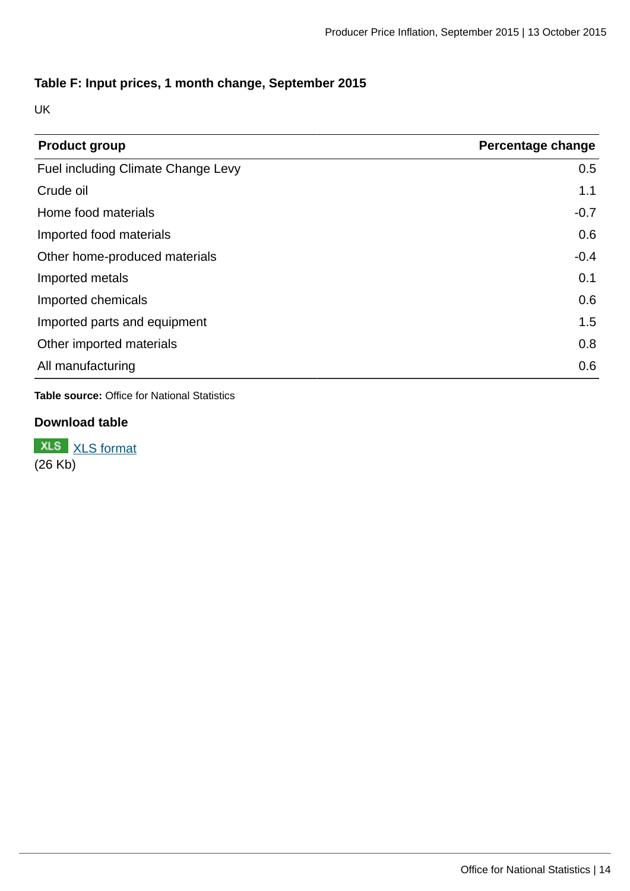#### **Table F: Input prices, 1 month change, September 2015**

UK

| <b>Product group</b>               | Percentage change |
|------------------------------------|-------------------|
| Fuel including Climate Change Levy | 0.5               |
| Crude oil                          | 1.1               |
| Home food materials                | $-0.7$            |
| Imported food materials            | 0.6               |
| Other home-produced materials      | $-0.4$            |
| Imported metals                    | 0.1               |
| Imported chemicals                 | 0.6               |
| Imported parts and equipment       | 1.5               |
| Other imported materials           | 0.8               |
| All manufacturing                  | 0.6               |

**Table source:** Office for National Statistics

### **Download table**

**XLS** [XLS format](http://www.ons.gov.uk:80/ons/rel/ppi2/producer-price-index/september-2015/prt-table-f-input-1mth-september-2015.xls)  $(26 \text{ Kb})$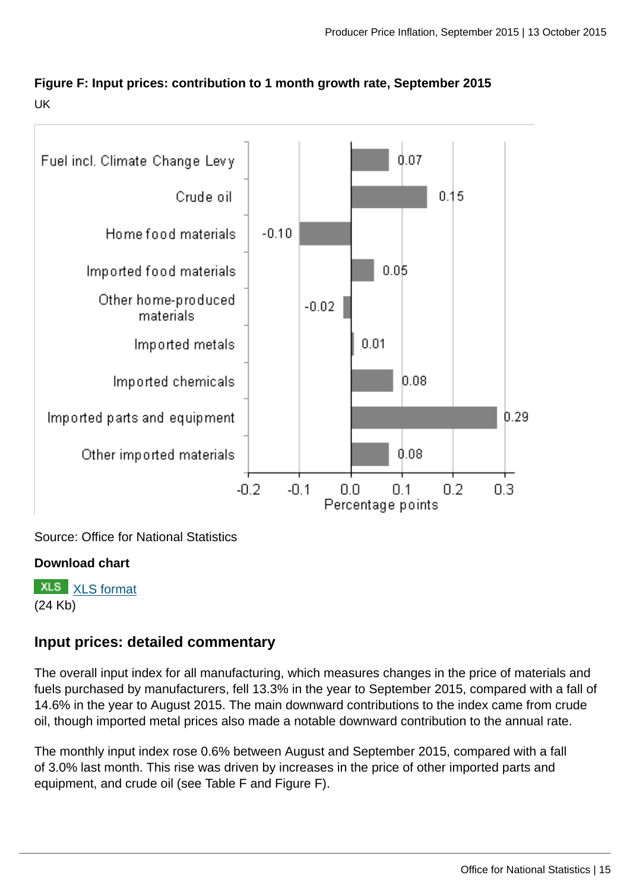



Source: Office for National Statistics

#### **Download chart**

**XLS** [XLS format](http://www.ons.gov.uk:80/ons/rel/ppi2/producer-price-index/september-2015/chd-fig-f-input-september-2015-1mth-contrib.xls) (24 Kb)

### **Input prices: detailed commentary**

The overall input index for all manufacturing, which measures changes in the price of materials and fuels purchased by manufacturers, fell 13.3% in the year to September 2015, compared with a fall of 14.6% in the year to August 2015. The main downward contributions to the index came from crude oil, though imported metal prices also made a notable downward contribution to the annual rate.

The monthly input index rose 0.6% between August and September 2015, compared with a fall of 3.0% last month. This rise was driven by increases in the price of other imported parts and equipment, and crude oil (see Table F and Figure F).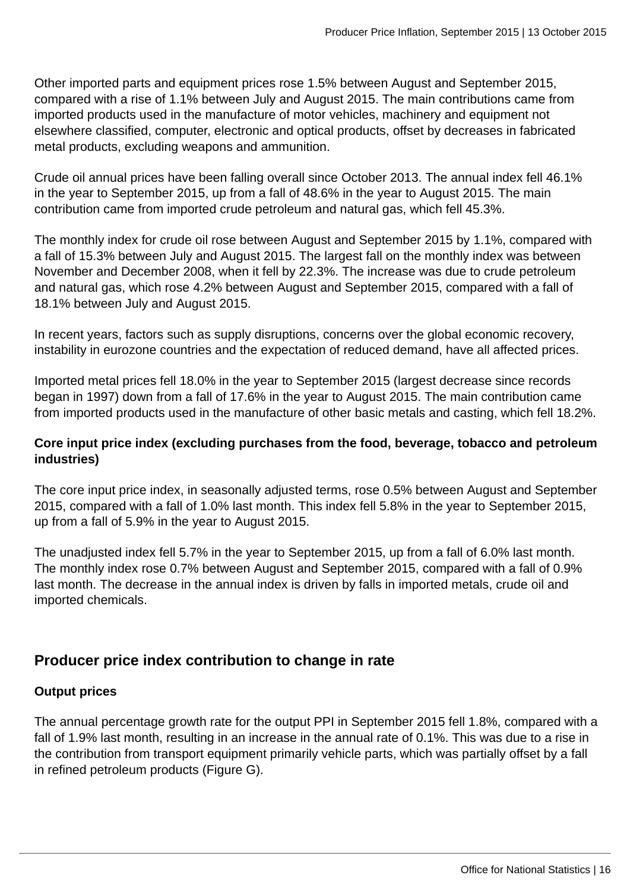Other imported parts and equipment prices rose 1.5% between August and September 2015, compared with a rise of 1.1% between July and August 2015. The main contributions came from imported products used in the manufacture of motor vehicles, machinery and equipment not elsewhere classified, computer, electronic and optical products, offset by decreases in fabricated metal products, excluding weapons and ammunition.

Crude oil annual prices have been falling overall since October 2013. The annual index fell 46.1% in the year to September 2015, up from a fall of 48.6% in the year to August 2015. The main contribution came from imported crude petroleum and natural gas, which fell 45.3%.

The monthly index for crude oil rose between August and September 2015 by 1.1%, compared with a fall of 15.3% between July and August 2015. The largest fall on the monthly index was between November and December 2008, when it fell by 22.3%. The increase was due to crude petroleum and natural gas, which rose 4.2% between August and September 2015, compared with a fall of 18.1% between July and August 2015.

In recent years, factors such as supply disruptions, concerns over the global economic recovery, instability in eurozone countries and the expectation of reduced demand, have all affected prices.

Imported metal prices fell 18.0% in the year to September 2015 (largest decrease since records began in 1997) down from a fall of 17.6% in the year to August 2015. The main contribution came from imported products used in the manufacture of other basic metals and casting, which fell 18.2%.

#### **Core input price index (excluding purchases from the food, beverage, tobacco and petroleum industries)**

The core input price index, in seasonally adjusted terms, rose 0.5% between August and September 2015, compared with a fall of 1.0% last month. This index fell 5.8% in the year to September 2015, up from a fall of 5.9% in the year to August 2015.

The unadjusted index fell 5.7% in the year to September 2015, up from a fall of 6.0% last month. The monthly index rose 0.7% between August and September 2015, compared with a fall of 0.9% last month. The decrease in the annual index is driven by falls in imported metals, crude oil and imported chemicals.

## **Producer price index contribution to change in rate**

#### **Output prices**

The annual percentage growth rate for the output PPI in September 2015 fell 1.8%, compared with a fall of 1.9% last month, resulting in an increase in the annual rate of 0.1%. This was due to a rise in the contribution from transport equipment primarily vehicle parts, which was partially offset by a fall in refined petroleum products (Figure G).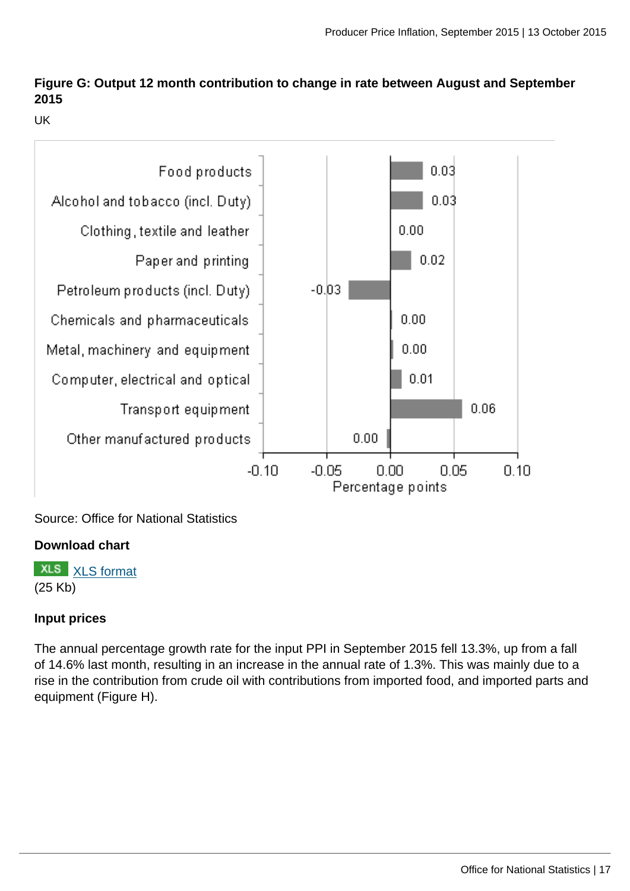## **Figure G: Output 12 month contribution to change in rate between August and September 2015**

UK



Source: Office for National Statistics

#### **Download chart**

**XLS** [XLS format](http://www.ons.gov.uk:80/ons/rel/ppi2/producer-price-index/september-2015/chd-fig-g-output-september-2015-12mth-contrib2rate.xls) (25 Kb)

#### **Input prices**

The annual percentage growth rate for the input PPI in September 2015 fell 13.3%, up from a fall of 14.6% last month, resulting in an increase in the annual rate of 1.3%. This was mainly due to a rise in the contribution from crude oil with contributions from imported food, and imported parts and equipment (Figure H).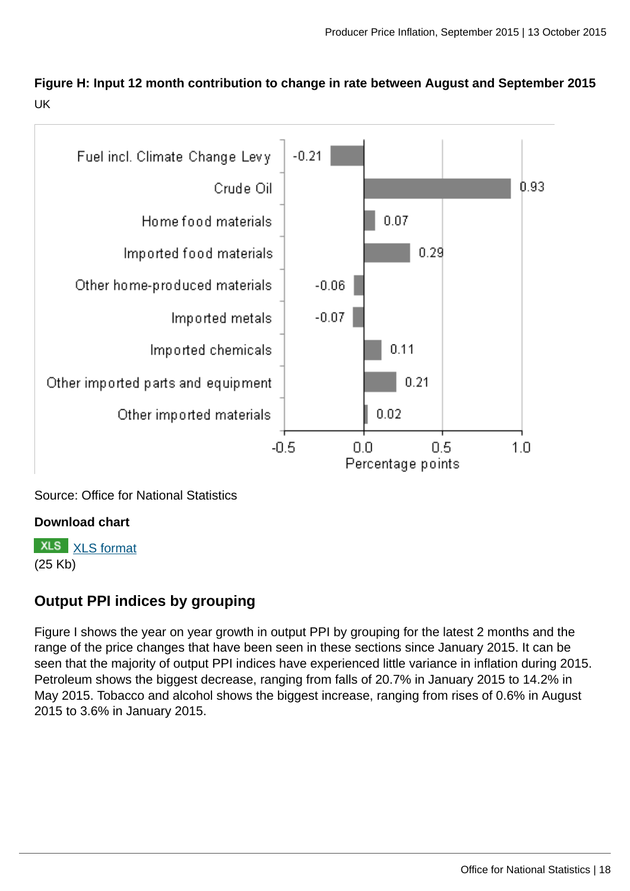**Figure H: Input 12 month contribution to change in rate between August and September 2015** UK



Source: Office for National Statistics

#### **Download chart**

**XLS** [XLS format](http://www.ons.gov.uk:80/ons/rel/ppi2/producer-price-index/september-2015/chd-fig-h-input-september-2015-12mth-contrib2rate.xls) (25 Kb)

## **Output PPI indices by grouping**

Figure I shows the year on year growth in output PPI by grouping for the latest 2 months and the range of the price changes that have been seen in these sections since January 2015. It can be seen that the majority of output PPI indices have experienced little variance in inflation during 2015. Petroleum shows the biggest decrease, ranging from falls of 20.7% in January 2015 to 14.2% in May 2015. Tobacco and alcohol shows the biggest increase, ranging from rises of 0.6% in August 2015 to 3.6% in January 2015.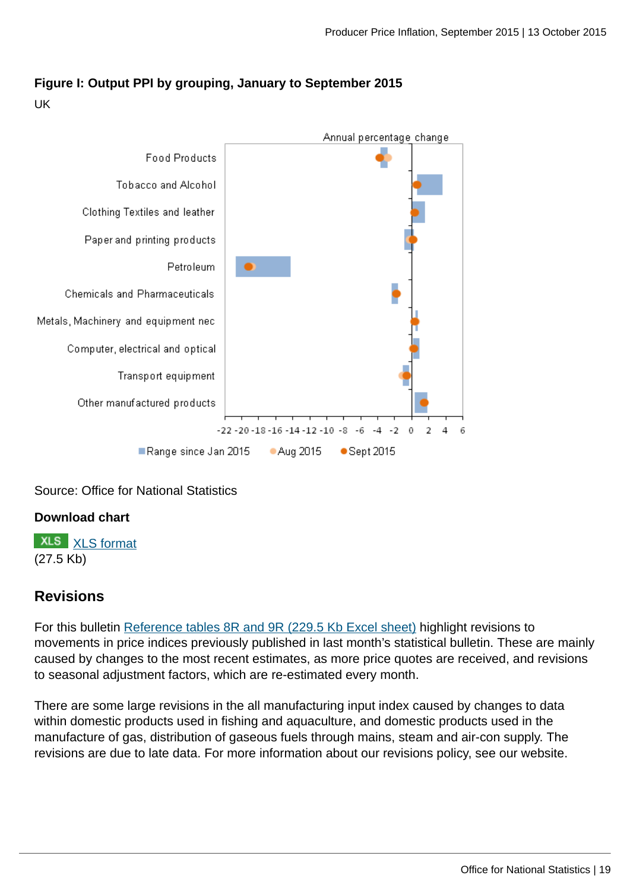

### **Figure I: Output PPI by grouping, January to September 2015**

UK

Source: Office for National Statistics

#### **Download chart**

**XLS** [XLS format](http://www.ons.gov.uk:80/ons/rel/ppi2/producer-price-index/september-2015/chd-fig-i-output-september-2015-ppi-by-grouping.xls) (27.5 Kb)

#### **Revisions**

For this bulletin [Reference tables 8R and 9R \(229.5 Kb Excel sheet\)](http://www.ons.gov.uk:80/ons/rel/ppi2/producer-price-index/september-2015/rft-stat-bull-tables-september-2015.xls) highlight revisions to movements in price indices previously published in last month's statistical bulletin. These are mainly caused by changes to the most recent estimates, as more price quotes are received, and revisions to seasonal adjustment factors, which are re-estimated every month.

There are some large revisions in the all manufacturing input index caused by changes to data within domestic products used in fishing and aquaculture, and domestic products used in the manufacture of gas, distribution of gaseous fuels through mains, steam and air-con supply. The revisions are due to late data. For more information about our revisions policy, see our website.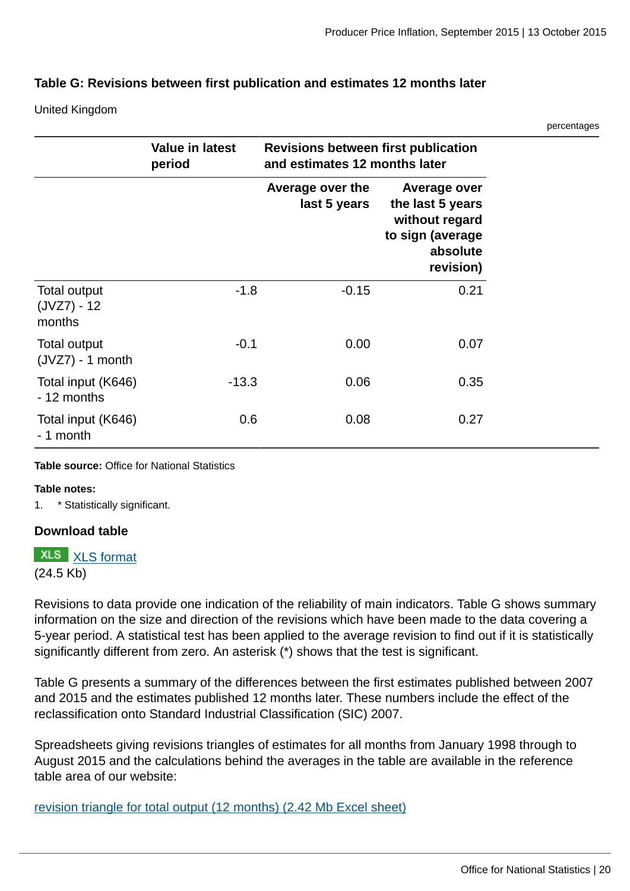nercentages

#### **Table G: Revisions between first publication and estimates 12 months later**

United Kingdom

|                                                |                                  |                                                                             |                                                                                                 | poroomagoo |
|------------------------------------------------|----------------------------------|-----------------------------------------------------------------------------|-------------------------------------------------------------------------------------------------|------------|
|                                                | <b>Value in latest</b><br>period | <b>Revisions between first publication</b><br>and estimates 12 months later |                                                                                                 |            |
|                                                |                                  | Average over the<br>last 5 years                                            | Average over<br>the last 5 years<br>without regard<br>to sign (average<br>absolute<br>revision) |            |
| <b>Total output</b><br>$(JVZ7) - 12$<br>months | $-1.8$                           | $-0.15$                                                                     | 0.21                                                                                            |            |
| Total output<br>$(JVZ7) - 1$ month             | $-0.1$                           | 0.00                                                                        | 0.07                                                                                            |            |
| Total input (K646)<br>- 12 months              | $-13.3$                          | 0.06                                                                        | 0.35                                                                                            |            |
| Total input (K646)<br>- 1 month                | 0.6                              | 0.08                                                                        | 0.27                                                                                            |            |

**Table source:** Office for National Statistics

#### **Table notes:**

1. \* Statistically significant.

#### **Download table**

**XLS** [XLS format](http://www.ons.gov.uk:80/ons/rel/ppi2/producer-price-index/september-2015/prt-table-g-revisions-september-2015.xls)

(24.5 Kb)

Revisions to data provide one indication of the reliability of main indicators. Table G shows summary information on the size and direction of the revisions which have been made to the data covering a 5-year period. A statistical test has been applied to the average revision to find out if it is statistically significantly different from zero. An asterisk (\*) shows that the test is significant.

Table G presents a summary of the differences between the first estimates published between 2007 and 2015 and the estimates published 12 months later. These numbers include the effect of the reclassification onto Standard Industrial Classification (SIC) 2007.

Spreadsheets giving revisions triangles of estimates for all months from January 1998 through to August 2015 and the calculations behind the averages in the table are available in the reference table area of our website:

[revision triangle for total output \(12 months\) \(2.42 Mb Excel sheet\)](http://www.ons.gov.uk:80/ons/rel/ppi2/producer-price-index/september-2015/rft-jvz7-12mth-sept-2015.xls)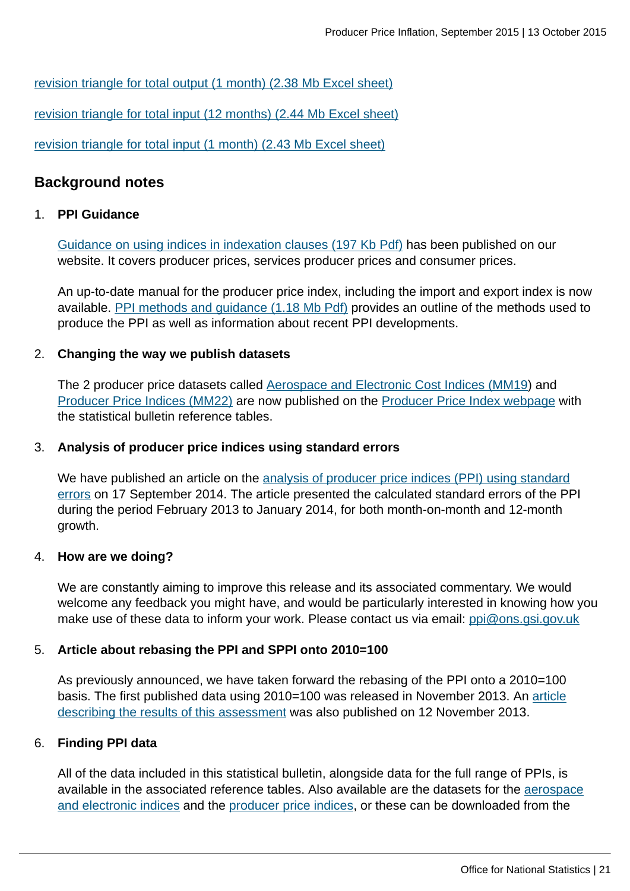[revision triangle for total output \(1 month\) \(2.38 Mb Excel sheet\)](http://www.ons.gov.uk:80/ons/rel/ppi2/producer-price-index/september-2015/rft-jvz7-1mth-sept-2015.xls)

[revision triangle for total input \(12 months\) \(2.44 Mb Excel sheet\)](http://www.ons.gov.uk:80/ons/rel/ppi2/producer-price-index/september-2015/rft-k646-12mth-sept--2015.xls)

[revision triangle for total input \(1 month\) \(2.43 Mb Excel sheet\)](http://www.ons.gov.uk:80/ons/rel/ppi2/producer-price-index/september-2015/rft-k646-1mth-sept-2015.xls)

#### **Background notes**

#### 1. **PPI Guidance**

[Guidance on using indices in indexation clauses \(197 Kb Pdf\)](http://www.ons.gov.uk:80/ons/guide-method/user-guidance/prices/ppi/guidance-on-using-indices-in-indexation-clauses.pdf) has been published on our website. It covers producer prices, services producer prices and consumer prices.

An up-to-date manual for the producer price index, including the import and export index is now available. [PPI methods and guidance \(1.18 Mb Pdf\)](http://www.ons.gov.uk:80/ons/guide-method/user-guidance/prices/ppi/producer-price-indices--methods-and-guidance----2014-edition.pdf) provides an outline of the methods used to produce the PPI as well as information about recent PPI developments.

#### 2. **Changing the way we publish datasets**

The 2 producer price datasets called [Aerospace and Electronic Cost Indices \(MM19](http://www.ons.gov.uk:80/ons/rel/ppi2/producer-price-index/september-2015/tsd-aerospace-and-electronics-cost-indices-dataset--july-2015.html)) and [Producer Price Indices \(MM22\)](http://www.ons.gov.uk:80/ons) are now published on the [Producer Price Index webpage](http://www.ons.gov.uk:80/ons/rel/ppi2/producer-price-index/september-2015/tsd-producer-price-index--data-for-september-2015.html) with the statistical bulletin reference tables.

#### 3. **Analysis of producer price indices using standard errors**

We have published an article on the [analysis of producer price indices \(PPI\) using standard](http://www.ons.gov.uk:80/ons/rel/ppi2/producer-price-index/producer-price-standard-errors-2014/anaylsis-of-producer-price-indices-using-standard-errors.html) [errors](http://www.ons.gov.uk:80/ons/rel/ppi2/producer-price-index/producer-price-standard-errors-2014/anaylsis-of-producer-price-indices-using-standard-errors.html) on 17 September 2014. The article presented the calculated standard errors of the PPI during the period February 2013 to January 2014, for both month-on-month and 12-month growth.

#### 4. **How are we doing?**

We are constantly aiming to improve this release and its associated commentary. We would welcome any feedback you might have, and would be particularly interested in knowing how you make use of these data to inform your work. Please contact us via email: [ppi@ons.gsi.gov.uk](mailto:ppi@ons.gsi.gov.uk)

#### 5. **Article about rebasing the PPI and SPPI onto 2010=100**

As previously announced, we have taken forward the rebasing of the PPI onto a 2010=100 basis. The first published data using 2010=100 was released in November 2013. An [article](http://www.ons.gov.uk:80/ons/rel/ppi2/producer-price-index/ppi-rebasing-2010---100/rebasing-the-producer-price-index-and-services-producer-price-index-onto-2010---100.html) [describing the results of this assessment](http://www.ons.gov.uk:80/ons/rel/ppi2/producer-price-index/ppi-rebasing-2010---100/rebasing-the-producer-price-index-and-services-producer-price-index-onto-2010---100.html) was also published on 12 November 2013.

#### 6. **Finding PPI data**

All of the data included in this statistical bulletin, alongside data for the full range of PPIs, is available in the associated reference tables. Also available are the datasets for the [aerospace](http://www.ons.gov.uk:80/ons/rel/ppi2/producer-price-index/september-2015/tsd-aerospace-and-electronics-cost-indices-dataset--july-2015.html) [and electronic indices](http://www.ons.gov.uk:80/ons/rel/ppi2/producer-price-index/september-2015/tsd-aerospace-and-electronics-cost-indices-dataset--july-2015.html) and the [producer price indices,](http://www.ons.gov.uk:80/ons) or these can be downloaded from the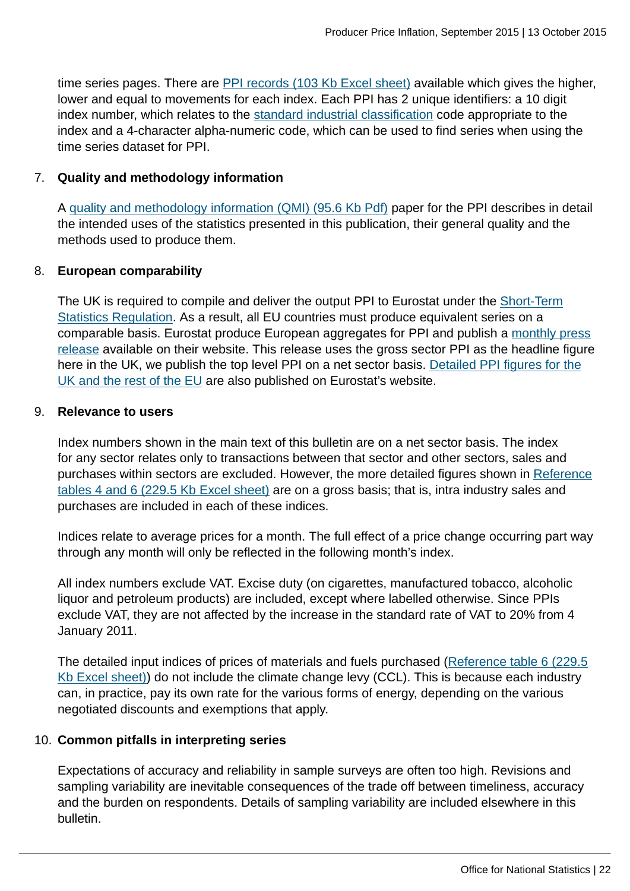time series pages. There are [PPI records \(103 Kb Excel sheet\)](http://www.ons.gov.uk:80/ons/rel/ppi2/producer-price-index/september-2015/rft-ppi-records-september-2015.xls) available which gives the higher, lower and equal to movements for each index. Each PPI has 2 unique identifiers: a 10 digit index number, which relates to the [standard industrial classification](http://www.ons.gov.uk:80/ons/guide-method/classifications/current-standard-classifications/standard-industrial-classification/index.html) code appropriate to the index and a 4-character alpha-numeric code, which can be used to find series when using the time series dataset for PPI.

#### 7. **Quality and methodology information**

A [quality and methodology information \(QMI\) \(95.6 Kb Pdf\)](http://www.ons.gov.uk:80/ons/guide-method/method-quality/quality/quality-information/business-statistics/quality-and-methodology-information-for-producer-price-indices--ppi-.pdf) paper for the PPI describes in detail the intended uses of the statistics presented in this publication, their general quality and the methods used to produce them.

#### 8. **European comparability**

The UK is required to compile and deliver the output PPI to Eurostat under the [Short-Term](http://eur-lex.europa.eu/LexUriServ/LexUriServ.do?uri=CELEX:31998R1165:EN:NOT) [Statistics Regulation](http://eur-lex.europa.eu/LexUriServ/LexUriServ.do?uri=CELEX:31998R1165:EN:NOT). As a result, all EU countries must produce equivalent series on a comparable basis. Eurostat produce European aggregates for PPI and publish a [monthly press](http://epp.eurostat.ec.europa.eu/portal/page/portal/short_term_business_statistics/publications/news_releases) [release](http://epp.eurostat.ec.europa.eu/portal/page/portal/short_term_business_statistics/publications/news_releases) available on their website. This release uses the gross sector PPI as the headline figure here in the UK, we publish the top level PPI on a net sector basis. [Detailed PPI figures for the](http://epp.eurostat.ec.europa.eu/portal/page/portal/statistics/search_database) [UK and the rest of the EU](http://epp.eurostat.ec.europa.eu/portal/page/portal/statistics/search_database) are also published on Eurostat's website.

#### 9. **Relevance to users**

Index numbers shown in the main text of this bulletin are on a net sector basis. The index for any sector relates only to transactions between that sector and other sectors, sales and purchases within sectors are excluded. However, the more detailed figures shown in [Reference](http://www.ons.gov.uk:80/ons/rel/ppi2/producer-price-index/september-2015/rft-stat-bull-tables-september-2015.xls) [tables 4 and 6 \(229.5 Kb Excel sheet\)](http://www.ons.gov.uk:80/ons/rel/ppi2/producer-price-index/september-2015/rft-stat-bull-tables-september-2015.xls) are on a gross basis; that is, intra industry sales and purchases are included in each of these indices.

Indices relate to average prices for a month. The full effect of a price change occurring part way through any month will only be reflected in the following month's index.

All index numbers exclude VAT. Excise duty (on cigarettes, manufactured tobacco, alcoholic liquor and petroleum products) are included, except where labelled otherwise. Since PPIs exclude VAT, they are not affected by the increase in the standard rate of VAT to 20% from 4 January 2011.

The detailed input indices of prices of materials and fuels purchased [\(Reference table 6 \(229.5](http://www.ons.gov.uk:80/ons/rel/ppi2/producer-price-index/september-2015/rft-stat-bull-tables-september-2015.xls) [Kb Excel sheet\)](http://www.ons.gov.uk:80/ons/rel/ppi2/producer-price-index/september-2015/rft-stat-bull-tables-september-2015.xls)) do not include the climate change levy (CCL). This is because each industry can, in practice, pay its own rate for the various forms of energy, depending on the various negotiated discounts and exemptions that apply.

#### 10. **Common pitfalls in interpreting series**

Expectations of accuracy and reliability in sample surveys are often too high. Revisions and sampling variability are inevitable consequences of the trade off between timeliness, accuracy and the burden on respondents. Details of sampling variability are included elsewhere in this bulletin.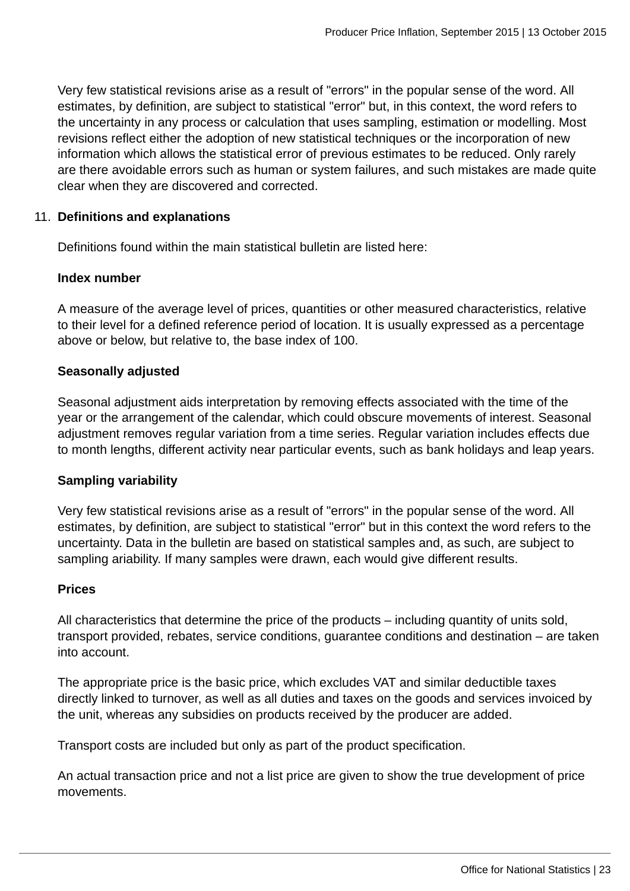Very few statistical revisions arise as a result of "errors" in the popular sense of the word. All estimates, by definition, are subject to statistical "error" but, in this context, the word refers to the uncertainty in any process or calculation that uses sampling, estimation or modelling. Most revisions reflect either the adoption of new statistical techniques or the incorporation of new information which allows the statistical error of previous estimates to be reduced. Only rarely are there avoidable errors such as human or system failures, and such mistakes are made quite clear when they are discovered and corrected.

#### 11. **Definitions and explanations**

Definitions found within the main statistical bulletin are listed here:

#### **Index number**

A measure of the average level of prices, quantities or other measured characteristics, relative to their level for a defined reference period of location. It is usually expressed as a percentage above or below, but relative to, the base index of 100.

#### **Seasonally adjusted**

Seasonal adjustment aids interpretation by removing effects associated with the time of the year or the arrangement of the calendar, which could obscure movements of interest. Seasonal adjustment removes regular variation from a time series. Regular variation includes effects due to month lengths, different activity near particular events, such as bank holidays and leap years.

#### **Sampling variability**

Very few statistical revisions arise as a result of "errors" in the popular sense of the word. All estimates, by definition, are subject to statistical "error" but in this context the word refers to the uncertainty. Data in the bulletin are based on statistical samples and, as such, are subject to sampling ariability. If many samples were drawn, each would give different results.

#### **Prices**

All characteristics that determine the price of the products – including quantity of units sold, transport provided, rebates, service conditions, guarantee conditions and destination – are taken into account.

The appropriate price is the basic price, which excludes VAT and similar deductible taxes directly linked to turnover, as well as all duties and taxes on the goods and services invoiced by the unit, whereas any subsidies on products received by the producer are added.

Transport costs are included but only as part of the product specification.

An actual transaction price and not a list price are given to show the true development of price movements.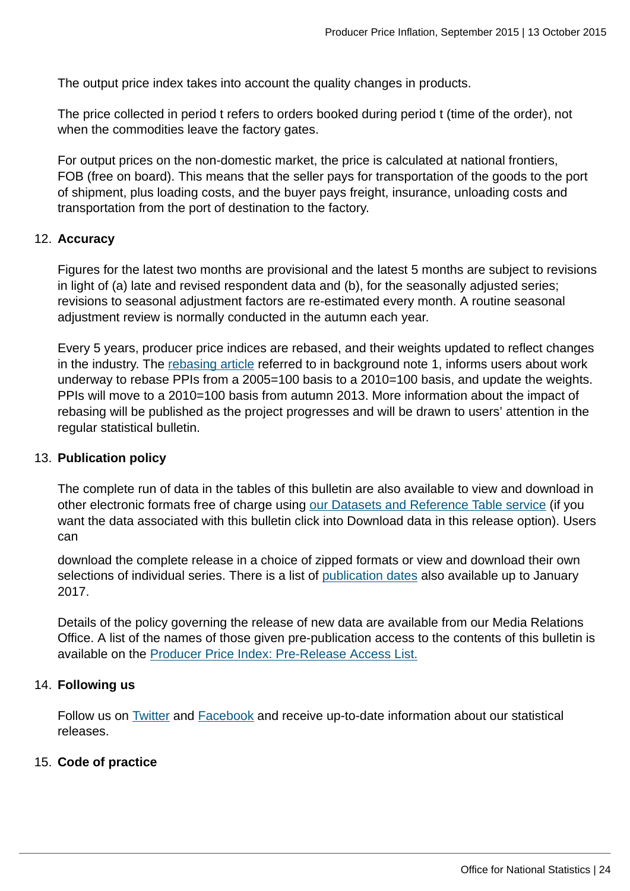The output price index takes into account the quality changes in products.

The price collected in period t refers to orders booked during period t (time of the order), not when the commodities leave the factory gates.

For output prices on the non-domestic market, the price is calculated at national frontiers, FOB (free on board). This means that the seller pays for transportation of the goods to the port of shipment, plus loading costs, and the buyer pays freight, insurance, unloading costs and transportation from the port of destination to the factory.

#### 12. **Accuracy**

Figures for the latest two months are provisional and the latest 5 months are subject to revisions in light of (a) late and revised respondent data and (b), for the seasonally adjusted series; revisions to seasonal adjustment factors are re-estimated every month. A routine seasonal adjustment review is normally conducted in the autumn each year.

Every 5 years, producer price indices are rebased, and their weights updated to reflect changes in the industry. The [rebasing article](http://www.ons.gov.uk/ons/rel/ppi2/producer-price-index/ppi-rebasing-2010---100/rebasing-the-producer-price-index-and-services-producer-price-index-onto-2010---100.html#tab-Summary) referred to in background note 1, informs users about work underway to rebase PPIs from a 2005=100 basis to a 2010=100 basis, and update the weights. PPIs will move to a 2010=100 basis from autumn 2013. More information about the impact of rebasing will be published as the project progresses and will be drawn to users' attention in the regular statistical bulletin.

#### 13. **Publication policy**

The complete run of data in the tables of this bulletin are also available to view and download in other electronic formats free of charge using [our Datasets and Reference Table service](http://www.ons.gov.uk/ons/search/index.html?newquery=Datasets+and+reference+tables+services) (if you want the data associated with this bulletin click into Download data in this release option). Users can

download the complete release in a choice of zipped formats or view and download their own selections of individual series. There is a list of [publication dates](http://www.ons.gov.uk:80/ons/guide-method/method-quality/specific/economy/producer-prices/index.html) also available up to January 2017.

Details of the policy governing the release of new data are available from our Media Relations Office. A list of the names of those given pre-publication access to the contents of this bulletin is available on the [Producer Price Index: Pre-Release Access List.](http://www.ons.gov.uk:80/ons/rel/ppi2/producer-price-index/september-2015/pra-ppi-september-2015.html)

#### 14. **Following us**

Follow us on [Twitter](http://www.ons.gov.uk:80/ons/external-links/social-media/twitter.html) and [Facebook](http://www.ons.gov.uk:80/ons/external-links/social-media/index.html) and receive up-to-date information about our statistical releases.

#### 15. **Code of practice**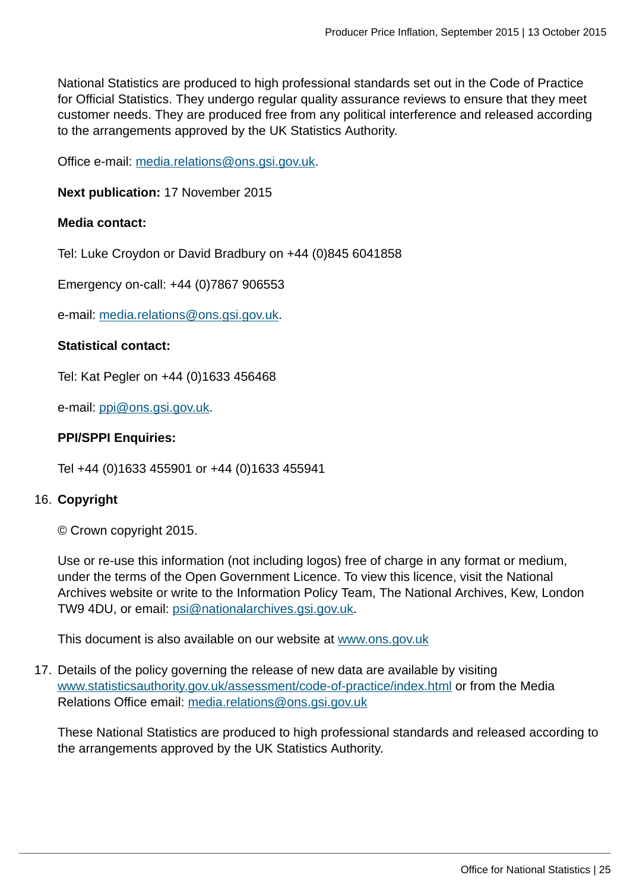National Statistics are produced to high professional standards set out in the Code of Practice for Official Statistics. They undergo regular quality assurance reviews to ensure that they meet customer needs. They are produced free from any political interference and released according to the arrangements approved by the UK Statistics Authority.

Office e-mail: [media.relations@ons.gsi.gov.uk](mailto:media.relations@ons.gsi.gov.uk).

**Next publication:** 17 November 2015

#### **Media contact:**

Tel: Luke Croydon or David Bradbury on +44 (0)845 6041858

Emergency on-call: +44 (0)7867 906553

e-mail: [media.relations@ons.gsi.gov.uk](mailto:media.relations@ons.gsi.gov.uk).

#### **Statistical contact:**

Tel: Kat Pegler on +44 (0)1633 456468

e-mail: [ppi@ons.gsi.gov.uk.](mailto:ppi@ons.gsi.gov.uk)

#### **PPI/SPPI Enquiries:**

Tel +44 (0)1633 455901 or +44 (0)1633 455941

#### 16. **Copyright**

© Crown copyright 2015.

Use or re-use this information (not including logos) free of charge in any format or medium, under the terms of the Open Government Licence. To view this licence, visit the National Archives website or write to the Information Policy Team, The National Archives, Kew, London TW9 4DU, or email: [psi@nationalarchives.gsi.gov.uk.](mailto:psi@nationalarchives.gsi.gov.uk)

This document is also available on our website at [www.ons.gov.uk](http://www.ons.gov.uk/)

17. Details of the policy governing the release of new data are available by visiting [www.statisticsauthority.gov.uk/assessment/code-of-practice/index.html](http://www.statisticsauthority.gov.uk/assessment/code-of-practice/index.html) or from the Media Relations Office email: [media.relations@ons.gsi.gov.uk](mailto:media.relations@ons.gsi.gov.uk)

These National Statistics are produced to high professional standards and released according to the arrangements approved by the UK Statistics Authority.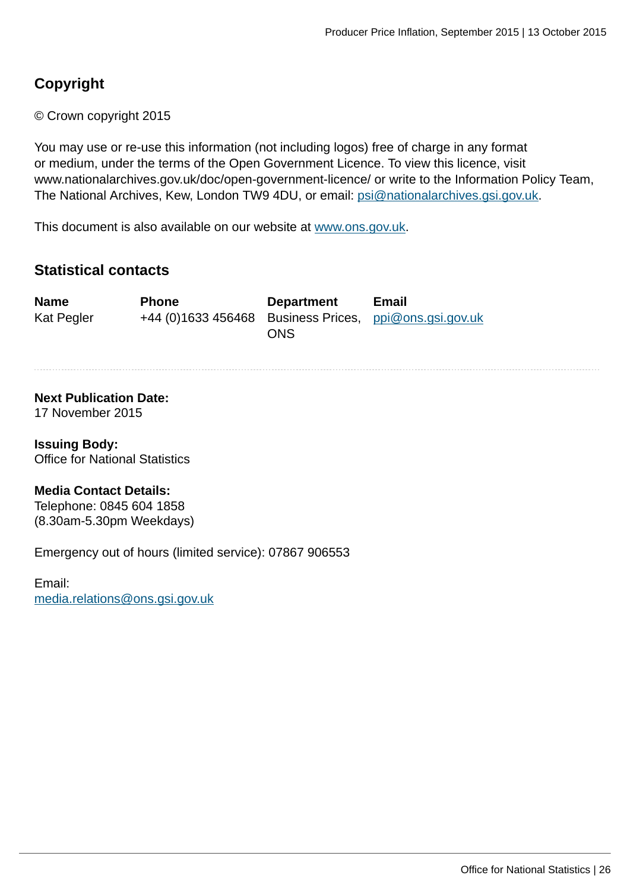## **Copyright**

© Crown copyright 2015

You may use or re-use this information (not including logos) free of charge in any format or medium, under the terms of the Open Government Licence. To view this licence, visit www.nationalarchives.gov.uk/doc/open-government-licence/ or write to the Information Policy Team, The National Archives, Kew, London TW9 4DU, or email: [psi@nationalarchives.gsi.gov.uk](mailto:psi@nationalarchives.gsi.gov.uk).

This document is also available on our website at [www.ons.gov.uk.](http://www.ons.gov.uk/)

## **Statistical contacts**

| <b>Name</b> | <b>Phone</b>                                           | <b>Department</b> | Email |
|-------------|--------------------------------------------------------|-------------------|-------|
| Kat Pegler  | +44 (0)1633 456468 Business Prices, ppi@ons.gsi.gov.uk | ONS               |       |

#### **Next Publication Date:**

17 November 2015

**Issuing Body:** Office for National Statistics

#### **Media Contact Details:**

Telephone: 0845 604 1858 (8.30am-5.30pm Weekdays)

Emergency out of hours (limited service): 07867 906553

Email: [media.relations@ons.gsi.gov.uk](mailto:media.relations@ons.gsi.gov.uk)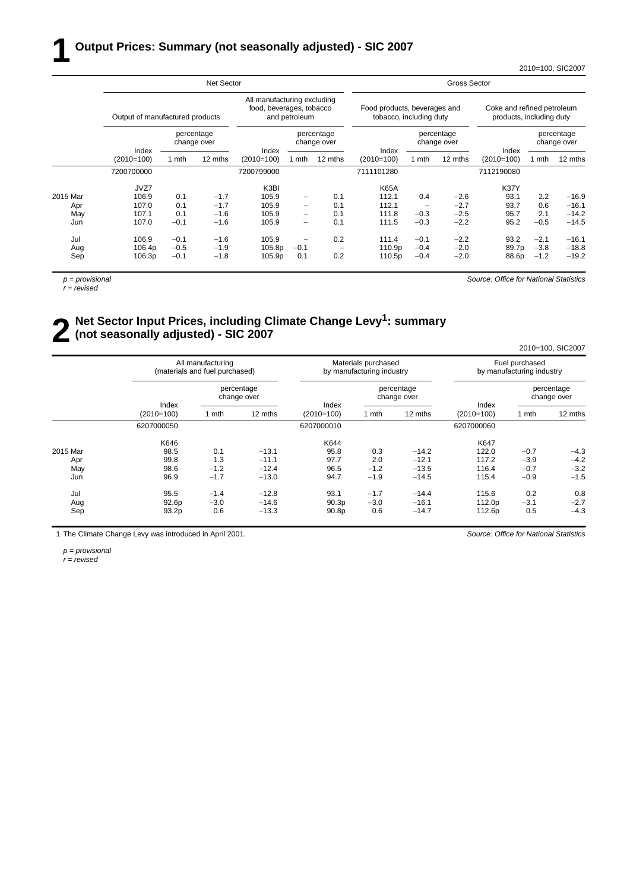#### **1 Output Prices: Summary (not seasonally adjusted) - SIC 2007**

2010=100, SIC2007

|          |                                 |        | Net Sector                |            |                                                                          |                           | Gross Sector          |                                                         |                           |              |                                                        |                           |  |
|----------|---------------------------------|--------|---------------------------|------------|--------------------------------------------------------------------------|---------------------------|-----------------------|---------------------------------------------------------|---------------------------|--------------|--------------------------------------------------------|---------------------------|--|
|          | Output of manufactured products |        |                           |            | All manufacturing excluding<br>food, beverages, tobacco<br>and petroleum |                           |                       | Food products, beverages and<br>tobacco, including duty |                           |              | Coke and refined petroleum<br>products, including duty |                           |  |
|          | Index<br>$(2010=100)$           |        | percentage<br>change over | Index      |                                                                          | percentage<br>change over |                       |                                                         | percentage<br>change over | Index        |                                                        | percentage<br>change over |  |
|          |                                 | 1 mth  | 12 mths                   | (2010=100) | 1 mth                                                                    | 12 mths                   | Index<br>$(2010=100)$ | 1 mth                                                   | 12 mths                   | $(2010=100)$ | 1 mth                                                  | 12 mths                   |  |
|          | 7200700000                      |        |                           | 7200799000 |                                                                          |                           | 7111101280            |                                                         |                           | 7112190080   |                                                        |                           |  |
|          | JVZ7                            |        |                           | K3BI       |                                                                          |                           | <b>K65A</b>           |                                                         |                           | K37Y         |                                                        |                           |  |
| 2015 Mar | 106.9                           | 0.1    | $-1.7$                    | 105.9      | $\qquad \qquad -$                                                        | 0.1                       | 112.1                 | 0.4                                                     | $-2.6$                    | 93.1         | 2.2                                                    | $-16.9$                   |  |
| Apr      | 107.0                           | 0.1    | $-1.7$                    | 105.9      | $\overline{\phantom{0}}$                                                 | 0.1                       | 112.1                 | -                                                       | $-2.7$                    | 93.7         | 0.6                                                    | $-16.1$                   |  |
| May      | 107.1                           | 0.1    | $-1.6$                    | 105.9      | $\qquad \qquad -$                                                        | 0.1                       | 111.8                 | $-0.3$                                                  | $-2.5$                    | 95.7         | 2.1                                                    | $-14.2$                   |  |
| Jun      | 107.0                           | $-0.1$ | $-1.6$                    | 105.9      | $\qquad \qquad -$                                                        | 0.1                       | 111.5                 | $-0.3$                                                  | $-2.2$                    | 95.2         | $-0.5$                                                 | $-14.5$                   |  |
| Jul      | 106.9                           | $-0.1$ | $-1.6$                    | 105.9      | $\overline{\phantom{0}}$                                                 | 0.2                       | 111.4                 | $-0.1$                                                  | $-2.2$                    | 93.2         | $-2.1$                                                 | $-16.1$                   |  |
| Aug      | 106.4p                          | $-0.5$ | $-1.9$                    | 105.8p     | $-0.1$                                                                   |                           | 110.9p                | $-0.4$                                                  | $-2.0$                    | 89.7p        | $-3.8$                                                 | $-18.8$                   |  |
| Sep      | 106.3p                          | $-0.1$ | $-1.8$                    | 105.9p     | 0.1                                                                      | 0.2                       | 110.5p                | $-0.4$                                                  | $-2.0$                    | 88.6p        | $-1.2$                                                 | $-19.2$                   |  |

*p = provisional*

*r = revised*

*Source: Office for National Statistics*

## **2** Net Sector Input Prices, including Climate Change Levy<sup>1</sup>: summary (not seasonally adjusted) - SIC 2007 **(not seasonally adjusted) - SIC 2007**

|          |              |                                                     |                           |                   |                                                  |                           |                                             |        | 2010=100, SIC2007         |
|----------|--------------|-----------------------------------------------------|---------------------------|-------------------|--------------------------------------------------|---------------------------|---------------------------------------------|--------|---------------------------|
|          |              | All manufacturing<br>(materials and fuel purchased) |                           |                   | Materials purchased<br>by manufacturing industry |                           | Fuel purchased<br>by manufacturing industry |        |                           |
|          | Index        |                                                     | percentage<br>change over | Index             |                                                  | percentage<br>change over | Index                                       |        | percentage<br>change over |
|          | $(2010=100)$ | 1 mth                                               | 12 mths                   | $(2010=100)$      | 1 mth                                            | 12 mths                   | $(2010=100)$                                | 1 mth  | 12 mths                   |
|          | 6207000050   |                                                     |                           | 6207000010        |                                                  |                           | 6207000060                                  |        |                           |
|          | K646         |                                                     |                           | K644              |                                                  |                           | K647                                        |        |                           |
| 2015 Mar | 98.5         | 0.1                                                 | $-13.1$                   | 95.8              | 0.3                                              | $-14.2$                   | 122.0                                       | $-0.7$ | $-4.3$                    |
| Apr      | 99.8         | 1.3                                                 | $-11.1$                   | 97.7              | 2.0                                              | $-12.1$                   | 117.2                                       | $-3.9$ | $-4.2$                    |
| May      | 98.6         | $-1.2$                                              | $-12.4$                   | 96.5              | $-1.2$                                           | $-13.5$                   | 116.4                                       | $-0.7$ | $-3.2$                    |
| Jun      | 96.9         | $-1.7$                                              | $-13.0$                   | 94.7              | $-1.9$                                           | $-14.5$                   | 115.4                                       | $-0.9$ | $-1.5$                    |
| Jul      | 95.5         | $-1.4$                                              | $-12.8$                   | 93.1              | $-1.7$                                           | $-14.4$                   | 115.6                                       | 0.2    | 0.8                       |
| Aug      | 92.6p        | $-3.0$                                              | $-14.6$                   | 90.3 <sub>p</sub> | $-3.0$                                           | $-16.1$                   | 112.0p                                      | $-3.1$ | $-2.7$                    |
| Sep      | 93.2p        | 0.6                                                 | $-13.3$                   | 90.8p             | 0.6                                              | $-14.7$                   | 112.6p                                      | 0.5    | $-4.3$                    |
|          |              |                                                     |                           |                   |                                                  |                           |                                             |        |                           |

1 The Climate Change Levy was introduced in April 2001.

*Source: Office for National Statistics*

*p = provisional*

*r = revised*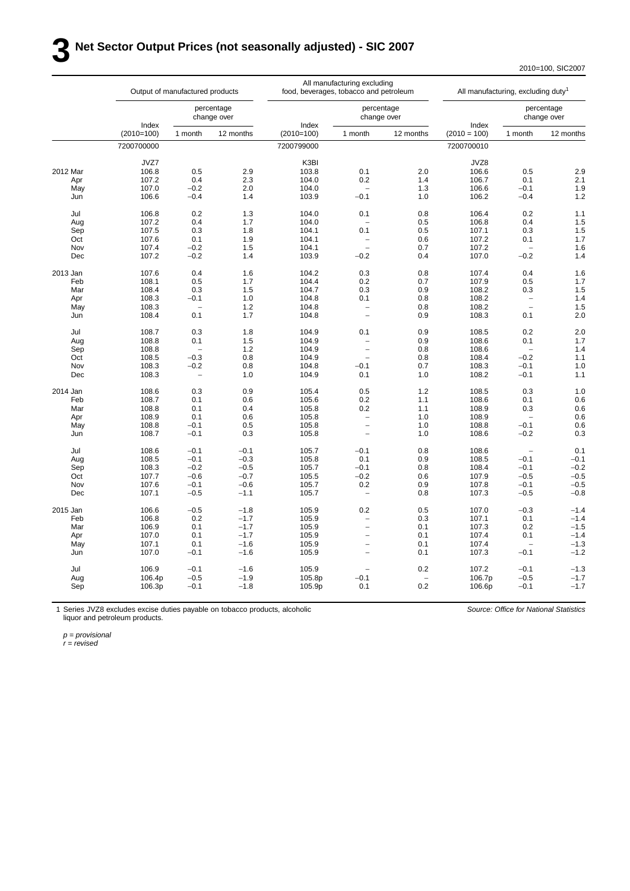## **3 Net Sector Output Prices (not seasonally adjusted) - SIC 2007**

2010=100, SIC2007

|          |              | Output of manufactured products |           |              | All manufacturing excluding<br>food, beverages, tobacco and petroleum |           |                | All manufacturing, excluding duty <sup>1</sup> |                           |
|----------|--------------|---------------------------------|-----------|--------------|-----------------------------------------------------------------------|-----------|----------------|------------------------------------------------|---------------------------|
|          | Index        | percentage<br>change over       |           | Index        | percentage<br>change over                                             |           | Index          |                                                | percentage<br>change over |
|          | $(2010=100)$ | 1 month                         | 12 months | $(2010=100)$ | 1 month                                                               | 12 months | $(2010 = 100)$ | 1 month                                        | 12 months                 |
|          | 7200700000   |                                 |           | 7200799000   |                                                                       |           | 7200700010     |                                                |                           |
|          | JVZ7         |                                 |           | K3BI         |                                                                       |           | JVZ8           |                                                |                           |
| 2012 Mar | 106.8        | 0.5                             | 2.9       | 103.8        | 0.1                                                                   | 2.0       | 106.6          | 0.5                                            | 2.9                       |
| Apr      | 107.2        | 0.4                             | 2.3       | 104.0        | 0.2                                                                   | 1.4       | 106.7          | 0.1                                            | 2.1                       |
| May      | 107.0        | $-0.2$                          | 2.0       | 104.0        |                                                                       | 1.3       | 106.6          | $-0.1$                                         | 1.9                       |
| Jun      | 106.6        | $-0.4$                          | 1.4       | 103.9        | $-0.1$                                                                | 1.0       | 106.2          | $-0.4$                                         | 1.2                       |
| Jul      | 106.8        | 0.2                             | 1.3       | 104.0        | 0.1                                                                   | 0.8       | 106.4          | 0.2                                            | 1.1                       |
| Aug      | 107.2        | 0.4                             | 1.7       | 104.0        |                                                                       | 0.5       | 106.8          | 0.4                                            | 1.5                       |
| Sep      | 107.5        | 0.3                             | 1.8       | 104.1        | 0.1                                                                   | 0.5       | 107.1          | 0.3                                            | 1.5                       |
| Oct      | 107.6        | 0.1                             | 1.9       | 104.1        | $\overline{\phantom{0}}$                                              | 0.6       | 107.2          | 0.1                                            | 1.7                       |
| Nov      | 107.4        | $-0.2$                          | 1.5       | 104.1        | $\overline{\phantom{a}}$                                              | 0.7       | 107.2          |                                                | 1.6                       |
| Dec      | 107.2        | $-0.2$                          | 1.4       | 103.9        | $-0.2$                                                                | 0.4       | 107.0          | $-0.2$                                         | 1.4                       |
| 2013 Jan | 107.6        | 0.4                             | 1.6       | 104.2        | 0.3                                                                   | 0.8       | 107.4          | 0.4                                            | 1.6                       |
| Feb      | 108.1        | 0.5                             | 1.7       | 104.4        | 0.2                                                                   | 0.7       | 107.9          | 0.5                                            | 1.7                       |
|          | 108.4        | 0.3                             | 1.5       | 104.7        | 0.3                                                                   | 0.9       |                | 0.3                                            | 1.5                       |
| Mar      |              |                                 |           |              |                                                                       |           | 108.2          |                                                |                           |
| Apr      | 108.3        | $-0.1$                          | 1.0       | 104.8        | 0.1                                                                   | 0.8       | 108.2          | $\qquad \qquad -$<br>$\overline{a}$            | 1.4                       |
| May      | 108.3        |                                 | 1.2       | 104.8        | $\overline{\phantom{0}}$                                              | 0.8       | 108.2          |                                                | 1.5                       |
| Jun      | 108.4        | 0.1                             | 1.7       | 104.8        | $\overline{a}$                                                        | 0.9       | 108.3          | 0.1                                            | 2.0                       |
| Jul      | 108.7        | 0.3                             | 1.8       | 104.9        | 0.1                                                                   | 0.9       | 108.5          | 0.2                                            | 2.0                       |
| Aug      | 108.8        | 0.1                             | 1.5       | 104.9        | $\overline{\phantom{a}}$                                              | 0.9       | 108.6          | 0.1                                            | 1.7                       |
| Sep      | 108.8        |                                 | 1.2       | 104.9        | $\overline{\phantom{0}}$                                              | 0.8       | 108.6          |                                                | 1.4                       |
| Oct      | 108.5        | $-0.3$                          | 0.8       | 104.9        | $\overline{\phantom{0}}$                                              | 0.8       | 108.4          | $-0.2$                                         | 1.1                       |
| Nov      | 108.3        | $-0.2$                          | 0.8       | 104.8        | $-0.1$                                                                | 0.7       | 108.3          | $-0.1$                                         | 1.0                       |
| Dec      | 108.3        | $\overline{\phantom{a}}$        | 1.0       | 104.9        | 0.1                                                                   | 1.0       | 108.2          | $-0.1$                                         | 1.1                       |
| 2014 Jan | 108.6        | 0.3                             | 0.9       | 105.4        | 0.5                                                                   | 1.2       | 108.5          | 0.3                                            | 1.0                       |
| Feb      | 108.7        | 0.1                             | 0.6       | 105.6        | 0.2                                                                   | 1.1       | 108.6          | 0.1                                            | 0.6                       |
| Mar      | 108.8        | 0.1                             | 0.4       | 105.8        | 0.2                                                                   | 1.1       | 108.9          | 0.3                                            | 0.6                       |
| Apr      | 108.9        | 0.1                             | 0.6       | 105.8        | $\overline{\phantom{0}}$                                              | 1.0       | 108.9          |                                                | 0.6                       |
| May      | 108.8        | $-0.1$                          | 0.5       | 105.8        | $\overline{a}$                                                        | 1.0       | 108.8          | $-0.1$                                         | 0.6                       |
| Jun      | 108.7        | $-0.1$                          | 0.3       | 105.8        | $\overline{\phantom{0}}$                                              | 1.0       | 108.6          | $-0.2$                                         | 0.3                       |
| Jul      | 108.6        | $-0.1$                          | $-0.1$    | 105.7        | $-0.1$                                                                | 0.8       | 108.6          | $\overline{\phantom{0}}$                       | 0.1                       |
| Aug      | 108.5        | $-0.1$                          | $-0.3$    | 105.8        | 0.1                                                                   | 0.9       | 108.5          | $-0.1$                                         | $-0.1$                    |
| Sep      | 108.3        | $-0.2$                          | $-0.5$    | 105.7        | $-0.1$                                                                | 0.8       | 108.4          | $-0.1$                                         | $-0.2$                    |
| Oct      | 107.7        | $-0.6$                          | $-0.7$    | 105.5        | $-0.2$                                                                | 0.6       | 107.9          | $-0.5$                                         | $-0.5$                    |
| Nov      | 107.6        | $-0.1$                          | $-0.6$    | 105.7        | 0.2                                                                   | 0.9       | 107.8          | $-0.1$                                         | $-0.5$                    |
|          |              |                                 |           |              |                                                                       |           |                |                                                |                           |
| Dec      | 107.1        | $-0.5$                          | $-1.1$    | 105.7        | $\overline{\phantom{a}}$                                              | 0.8       | 107.3          | $-0.5$                                         | $-0.8$                    |
| 2015 Jan | 106.6        | $-0.5$                          | $-1.8$    | 105.9        | 0.2                                                                   | 0.5       | 107.0          | $-0.3$                                         | $-1.4$                    |
| Feb      | 106.8        | 0.2                             | $-1.7$    | 105.9        | $\overline{a}$                                                        | 0.3       | 107.1          | 0.1                                            | $-1.4$                    |
| Mar      | 106.9        | 0.1                             | $-1.7$    | 105.9        | $\overline{\phantom{0}}$                                              | 0.1       | 107.3          | 0.2                                            | $-1.5$                    |
| Apr      | 107.0        | 0.1                             | $-1.7$    | 105.9        | $\overline{\phantom{0}}$                                              | 0.1       | 107.4          | 0.1                                            | $-1.4$                    |
| May      | 107.1        | 0.1                             | $-1.6$    | 105.9        | $\overline{\phantom{0}}$                                              | 0.1       | 107.4          |                                                | $-1.3$                    |
| Jun      | 107.0        | $-0.1$                          | $-1.6$    | 105.9        | $\overline{a}$                                                        | 0.1       | 107.3          | $-0.1$                                         | $-1.2$                    |
| Jul      | 106.9        | $-0.1$                          | $-1.6$    | 105.9        | $\overline{\phantom{0}}$                                              | 0.2       | 107.2          | $-0.1$                                         | $-1.3$                    |
| Aug      | 106.4p       | $-0.5$                          | $-1.9$    | 105.8p       | $-0.1$                                                                |           | 106.7p         | $-0.5$                                         | $-1.7$                    |
| Sep      | 106.3p       | $-0.1$                          | $-1.8$    | 105.9p       | 0.1                                                                   | 0.2       | 106.6p         | $-0.1$                                         | $-1.7$                    |
|          |              |                                 |           |              |                                                                       |           |                |                                                |                           |

1 Series JVZ8 excludes excise duties payable on tobacco products, alcoholic liquor and petroleum products.

*Source: Office for National Statistics*

*p = provisional*

*r = revised*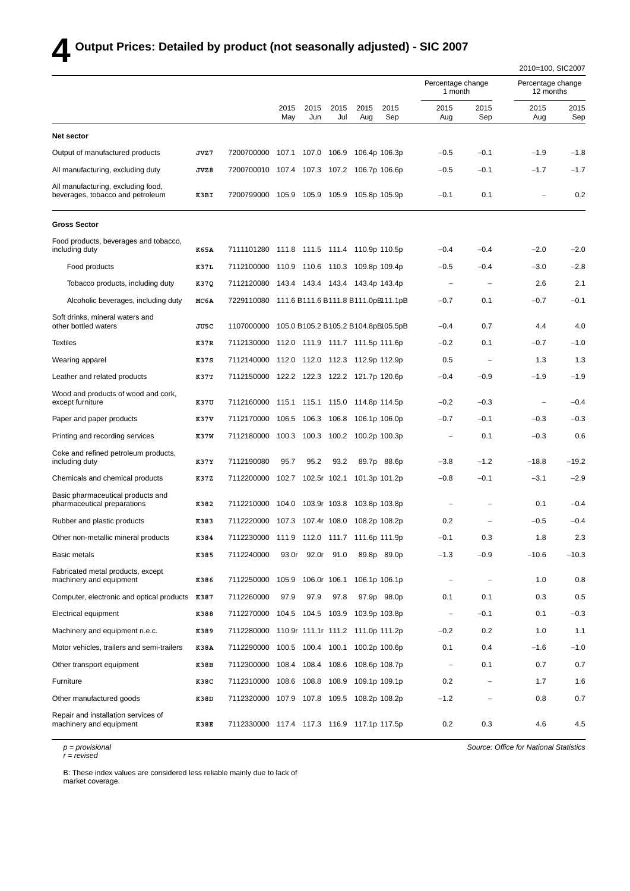## **4 Output Prices: Detailed by product (not seasonally adjusted) - SIC 2007**

|                                                                        |             |                                                |             |                    |              |                                  |                                     |                              |                   | 2010=100, SIC2007              |             |
|------------------------------------------------------------------------|-------------|------------------------------------------------|-------------|--------------------|--------------|----------------------------------|-------------------------------------|------------------------------|-------------------|--------------------------------|-------------|
|                                                                        |             |                                                |             |                    |              |                                  |                                     | Percentage change<br>1 month |                   | Percentage change<br>12 months |             |
|                                                                        |             |                                                | 2015<br>May | 2015<br>Jun        | 2015<br>Jul  | 2015<br>Aug                      | 2015<br>Sep                         | 2015<br>Aug                  | 2015<br>Sep       | 2015<br>Aug                    | 2015<br>Sep |
| Net sector                                                             |             |                                                |             |                    |              |                                  |                                     |                              |                   |                                |             |
| Output of manufactured products                                        | JVZ7        | 7200700000                                     | 107.1       | 107.0              | 106.9        |                                  | 106.4p 106.3p                       | $-0.5$                       | $-0.1$            | $-1.9$                         | $-1.8$      |
| All manufacturing, excluding duty                                      | JVZ8        | 7200700010 107.4 107.3 107.2                   |             |                    |              |                                  | 106.7p 106.6p                       | $-0.5$                       | $-0.1$            | $-1.7$                         | $-1.7$      |
| All manufacturing, excluding food,<br>beverages, tobacco and petroleum | K3BI        | 7200799000 105.9 105.9 105.9 105.8p 105.9p     |             |                    |              |                                  |                                     | $-0.1$                       | 0.1               |                                | 0.2         |
| <b>Gross Sector</b>                                                    |             |                                                |             |                    |              |                                  |                                     |                              |                   |                                |             |
| Food products, beverages and tobacco,<br>including duty                | K65A        | 7111101280                                     |             |                    |              | 111.8 111.5 111.4 110.9p 110.5p  |                                     | $-0.4$                       | $-0.4$            | $-2.0$                         | $-2.0$      |
| Food products                                                          | K37L        | 7112100000                                     |             |                    |              | 110.9 110.6 110.3 109.8p 109.4p  |                                     | $-0.5$                       | $-0.4$            | $-3.0$                         | $-2.8$      |
| Tobacco products, including duty                                       | K37Q        | 7112120080                                     |             |                    |              | 143.4 143.4 143.4 143.4p 143.4p  |                                     |                              |                   | 2.6                            | 2.1         |
| Alcoholic beverages, including duty                                    | MC6A        | 7229110080 111.6 B111.6 B111.8 B111.0pB111.1pB |             |                    |              |                                  |                                     | $-0.7$                       | 0.1               | $-0.7$                         | $-0.1$      |
| Soft drinks, mineral waters and<br>other bottled waters                | JU5C        | 1107000000                                     |             |                    |              |                                  | 105.0 B105.2 B105.2 B104.8pBl05.5pB | $-0.4$                       | 0.7               | 4.4                            | 4.0         |
| <b>Textiles</b>                                                        | K37R        | 7112130000                                     |             |                    |              | 112.0 111.9 111.7 111.5p 111.6p  |                                     | $-0.2$                       | 0.1               | $-0.7$                         | $-1.0$      |
| Wearing apparel                                                        | K37S        | 7112140000 112.0 112.0 112.3 112.9p 112.9p     |             |                    |              |                                  |                                     | 0.5                          |                   | 1.3                            | 1.3         |
| Leather and related products                                           | K37T        | 7112150000                                     |             |                    |              | 122.2 122.3 122.2 121.7p 120.6p  |                                     | $-0.4$                       | $-0.9$            | $-1.9$                         | $-1.9$      |
| Wood and products of wood and cork,<br>except furniture                | K37U        | 7112160000                                     |             |                    |              | 115.1 115.1 115.0 114.8p 114.5p  |                                     | $-0.2$                       | $-0.3$            |                                | $-0.4$      |
| Paper and paper products                                               | K37V        | 7112170000                                     | 106.5       | 106.3              | 106.8        |                                  | 106.1p 106.0p                       | $-0.7$                       | $-0.1$            | $-0.3$                         | $-0.3$      |
| Printing and recording services                                        | <b>K37W</b> | 7112180000                                     |             | 100.3 100.3 100.2  |              | 100.2p 100.3p                    |                                     | $\qquad \qquad -$            | 0.1               | $-0.3$                         | 0.6         |
| Coke and refined petroleum products,<br>including duty                 | K37Y        | 7112190080                                     | 95.7        | 95.2               | 93.2         |                                  | 89.7p 88.6p                         | $-3.8$                       | $-1.2$            | $-18.8$                        | $-19.2$     |
| Chemicals and chemical products                                        | K37Z        | 7112200000                                     | 102.7       |                    | 102.5r 102.1 |                                  | 101.3p 101.2p                       | $-0.8$                       | $-0.1$            | $-3.1$                         | $-2.9$      |
| Basic pharmaceutical products and<br>pharmaceutical preparations       | K382        | 7112210000                                     | 104.0       | 103.9r 103.8       |              |                                  | 103.8p 103.8p                       |                              |                   | 0.1                            | $-0.4$      |
| Rubber and plastic products                                            | K383        | 7112220000                                     |             |                    |              | 107.3 107.4r 108.0 108.2p 108.2p |                                     | 0.2                          |                   | $-0.5$                         | $-0.4$      |
| Other non-metallic mineral products                                    | K384        | 7112230000 111.9 112.0 111.7 111.6p 111.9p     |             |                    |              |                                  |                                     | $-0.1$                       | 0.3               | 1.8                            | 2.3         |
| Basic metals                                                           | K385        | 7112240000                                     | 93.0r       |                    | 92.0r 91.0   |                                  | 89.8p 89.0p                         | $-1.3$                       | $-0.9$            | $-10.6$                        | $-10.3$     |
| Fabricated metal products, except<br>machinery and equipment           | K386        | 7112250000                                     |             | 105.9 106.0r 106.1 |              |                                  | 106.1p 106.1p                       | $\qquad \qquad -$            | $\qquad \qquad -$ | 1.0                            | 0.8         |
| Computer, electronic and optical products K387                         |             | 7112260000                                     | 97.9        | 97.9               | 97.8         |                                  | 97.9p 98.0p                         | 0.1                          | 0.1               | 0.3                            | 0.5         |
| Electrical equipment                                                   | K388        | 7112270000                                     |             | 104.5 104.5 103.9  |              |                                  | 103.9p 103.8p                       | $\qquad \qquad -$            | $-0.1$            | 0.1                            | $-0.3$      |
| Machinery and equipment n.e.c.                                         | K389        | 7112280000 110.9r 111.1r 111.2 111.0p 111.2p   |             |                    |              |                                  |                                     | $-0.2$                       | 0.2               | 1.0                            | 1.1         |
| Motor vehicles, trailers and semi-trailers                             | K38A        | 7112290000                                     |             | 100.5 100.4 100.1  |              |                                  | 100.2p 100.6p                       | 0.1                          | 0.4               | $-1.6$                         | $-1.0$      |
| Other transport equipment                                              | K38B        | 7112300000 108.4 108.4 108.6                   |             |                    |              |                                  | 108.6p 108.7p                       | $\qquad \qquad -$            | 0.1               | 0.7                            | 0.7         |
| Furniture                                                              | K38C        | 7112310000                                     |             | 108.6 108.8 108.9  |              |                                  | 109.1p 109.1p                       | 0.2                          |                   | 1.7                            | 1.6         |
| Other manufactured goods                                               | K38D        | 7112320000                                     |             | 107.9 107.8 109.5  |              |                                  | 108.2p 108.2p                       | $-1.2$                       |                   | 0.8                            | 0.7         |
| Repair and installation services of<br>machinery and equipment         | K38E        | 7112330000 117.4 117.3 116.9 117.1p 117.5p     |             |                    |              |                                  |                                     | 0.2                          | 0.3               | 4.6                            | 4.5         |

*p = provisional r = revised*

*Source: Office for National Statistics*

B: These index values are considered less reliable mainly due to lack of market coverage.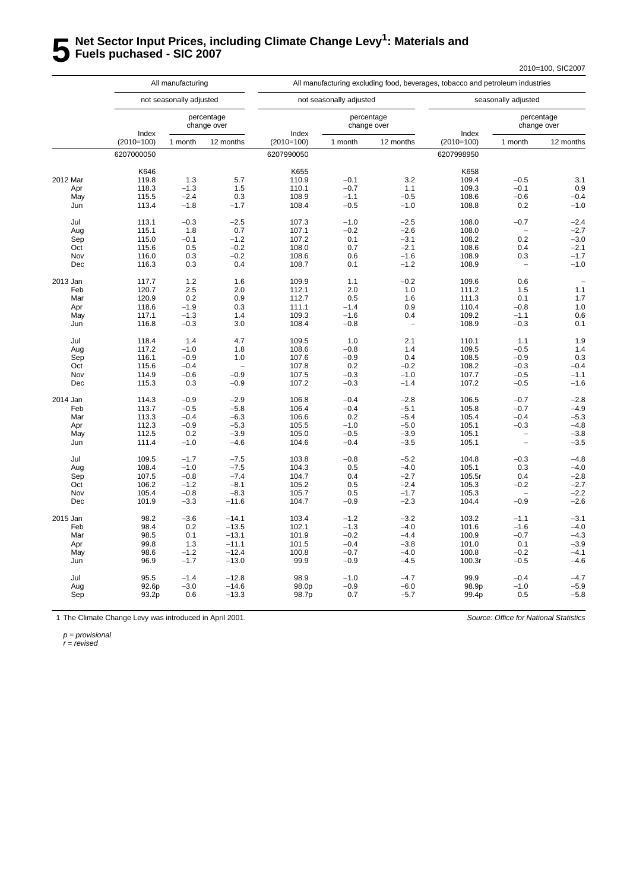## **5** Net Sector Input Prices, including Climate Change Levy<sup>1</sup>: Materials and<br>**5** Fuels puchased - SIC 2007 **Fuels puchased - SIC 2007**

2010=100, SIC2007

|          |                       | All manufacturing       |                           |                       |                         |                           |                       | All manufacturing excluding food, beverages, tobacco and petroleum industries |                           |  |  |
|----------|-----------------------|-------------------------|---------------------------|-----------------------|-------------------------|---------------------------|-----------------------|-------------------------------------------------------------------------------|---------------------------|--|--|
|          |                       | not seasonally adjusted |                           |                       | not seasonally adjusted |                           |                       | seasonally adjusted                                                           |                           |  |  |
|          |                       |                         | percentage<br>change over |                       |                         | percentage<br>change over |                       |                                                                               | percentage<br>change over |  |  |
|          | Index<br>$(2010=100)$ | 1 month                 | 12 months                 | Index<br>$(2010=100)$ | 1 month                 | 12 months                 | Index<br>$(2010=100)$ | 1 month                                                                       | 12 months                 |  |  |
|          | 6207000050            |                         |                           | 6207990050            |                         |                           | 6207998950            |                                                                               |                           |  |  |
|          | K646                  |                         |                           | K655                  |                         |                           | K658                  |                                                                               |                           |  |  |
| 2012 Mar | 119.8                 | 1.3                     | 5.7                       | 110.9                 | $-0.1$                  | 3.2                       | 109.4                 | $-0.5$                                                                        | 3.1                       |  |  |
| Apr      | 118.3                 | $-1.3$                  | 1.5                       | 110.1                 | $-0.7$                  | 1.1                       | 109.3                 | $-0.1$                                                                        | 0.9                       |  |  |
| May      | 115.5                 | $-2.4$                  | 0.3                       | 108.9                 | $-1.1$                  | $-0.5$                    | 108.6                 | $-0.6$                                                                        | $-0.4$                    |  |  |
| Jun      | 113.4                 | $-1.8$                  | $-1.7$                    | 108.4                 | $-0.5$                  | $-1.0$                    | 108.8                 | 0.2                                                                           | $-1.0$                    |  |  |
| Jul      | 113.1                 | $-0.3$                  | $-2.5$                    | 107.3                 | $-1.0$                  | $-2.5$                    | 108.0                 | $-0.7$                                                                        | $-2.4$                    |  |  |
| Aug      | 115.1                 | 1.8                     | 0.7                       | 107.1                 | $-0.2$                  | $-2.6$                    | 108.0                 |                                                                               | $-2.7$                    |  |  |
| Sep      | 115.0                 | $-0.1$                  | $-1.2$                    | 107.2                 | 0.1                     | $-3.1$                    | 108.2                 | 0.2                                                                           | $-3.0$                    |  |  |
| Oct      | 115.6                 | 0.5                     | $-0.2$                    | 108.0                 | 0.7                     | $-2.1$                    | 108.6                 | 0.4                                                                           | $-2.1$                    |  |  |
| Nov      | 116.0                 | 0.3                     | $-0.2$                    | 108.6                 | 0.6                     | $-1.6$                    | 108.9                 | 0.3                                                                           | $-1.7$                    |  |  |
| Dec      | 116.3                 | 0.3                     | 0.4                       | 108.7                 | 0.1                     | $-1.2$                    | 108.9                 | $\overline{a}$                                                                | $-1.0$                    |  |  |
| 2013 Jan | 117.7                 | 1.2                     | 1.6                       | 109.9                 | 1.1                     | $-0.2$                    | 109.6                 | 0.6                                                                           |                           |  |  |
| Feb      | 120.7                 | 2.5                     | 2.0                       | 112.1                 | 2.0                     | 1.0                       | 111.2                 | 1.5                                                                           | 1.1                       |  |  |
| Mar      | 120.9                 | 0.2                     | 0.9                       | 112.7                 | 0.5                     | 1.6                       | 111.3                 | 0.1                                                                           | 1.7                       |  |  |
| Apr      | 118.6                 | $-1.9$                  | 0.3                       | 111.1                 | $-1.4$                  | 0.9                       | 110.4                 | $-0.8$                                                                        | 1.0                       |  |  |
| May      | 117.1                 | $-1.3$                  | 1.4                       | 109.3                 | $-1.6$                  | 0.4                       | 109.2                 | $-1.1$                                                                        | 0.6                       |  |  |
| Jun      | 116.8                 | $-0.3$                  | 3.0                       | 108.4                 | $-0.8$                  | $\overline{\phantom{0}}$  | 108.9                 | $-0.3$                                                                        | 0.1                       |  |  |
| Jul      | 118.4                 | 1.4                     | 4.7                       | 109.5                 | 1.0                     | 2.1                       | 110.1                 | 1.1                                                                           | 1.9                       |  |  |
| Aug      | 117.2                 | $-1.0$                  | 1.8                       | 108.6                 | $-0.8$                  | 1.4                       | 109.5                 | $-0.5$                                                                        | 1.4                       |  |  |
| Sep      | 116.1                 | $-0.9$                  | 1.0                       | 107.6                 | $-0.9$                  | 0.4                       | 108.5                 | $-0.9$                                                                        | 0.3                       |  |  |
| Oct      | 115.6                 | $-0.4$                  |                           | 107.8                 | 0.2                     | $-0.2$                    | 108.2                 | $-0.3$                                                                        | $-0.4$                    |  |  |
| Nov      | 114.9                 | $-0.6$                  | $-0.9$                    | 107.5                 | $-0.3$                  | $-1.0$                    | 107.7                 | $-0.5$                                                                        | $-1.1$                    |  |  |
| Dec      | 115.3                 | 0.3                     | $-0.9$                    | 107.2                 | $-0.3$                  | $-1.4$                    | 107.2                 | $-0.5$                                                                        | $-1.6$                    |  |  |
| 2014 Jan | 114.3                 | $-0.9$                  | $-2.9$                    | 106.8                 | $-0.4$                  | $-2.8$                    | 106.5                 | $-0.7$                                                                        | $-2.8$                    |  |  |
| Feb      | 113.7                 | $-0.5$                  | $-5.8$                    | 106.4                 | $-0.4$                  | $-5.1$                    | 105.8                 | $-0.7$                                                                        | $-4.9$                    |  |  |
| Mar      | 113.3                 | $-0.4$                  | $-6.3$                    | 106.6                 | 0.2                     | $-5.4$                    | 105.4                 | $-0.4$                                                                        | $-5.3$                    |  |  |
| Apr      | 112.3                 | $-0.9$                  | $-5.3$                    | 105.5                 | $-1.0$                  | $-5.0$                    | 105.1                 | $-0.3$                                                                        | $-4.8$                    |  |  |
| May      | 112.5                 | 0.2                     | $-3.9$                    | 105.0                 | $-0.5$                  | $-3.9$                    | 105.1                 | $\overline{\phantom{0}}$                                                      | $-3.8$                    |  |  |
| Jun      | 111.4                 | $-1.0$                  | $-4.6$                    | 104.6                 | $-0.4$                  | $-3.5$                    | 105.1                 | $\overline{\phantom{0}}$                                                      | $-3.5$                    |  |  |
| Jul      | 109.5                 | $-1.7$                  | $-7.5$                    | 103.8                 | $-0.8$                  | $-5.2$                    | 104.8                 | $-0.3$                                                                        | $-4.8$                    |  |  |
| Aug      | 108.4                 | $-1.0$                  | $-7.5$                    | 104.3                 | 0.5                     | $-4.0$                    | 105.1                 | 0.3                                                                           | $-4.0$                    |  |  |
| Sep      | 107.5                 | $-0.8$                  | $-7.4$                    | 104.7                 | 0.4                     | $-2.7$                    | 105.5r                | 0.4                                                                           | $-2.8$                    |  |  |
| Oct      | 106.2                 | $-1.2$                  | $-8.1$                    | 105.2                 | 0.5                     | $-2.4$                    | 105.3                 | $-0.2$                                                                        | $-2.7$                    |  |  |
| Nov      | 105.4                 | $-0.8$                  | $-8.3$                    | 105.7                 | 0.5                     | $-1.7$                    | 105.3                 | $\overline{\phantom{0}}$                                                      | $-2.2$                    |  |  |
| Dec      | 101.9                 | $-3.3$                  | $-11.6$                   | 104.7                 | $-0.9$                  | $-2.3$                    | 104.4                 | $-0.9$                                                                        | $-2.6$                    |  |  |
| 2015 Jan | 98.2                  | $-3.6$                  | $-14.1$                   | 103.4                 | $-1.2$                  | $-3.2$                    | 103.2                 | $-1.1$                                                                        | $-3.1$                    |  |  |
| Feb      | 98.4                  | 0.2                     | $-13.5$                   | 102.1                 | $-1.3$                  | $-4.0$                    | 101.6                 | $-1.6$                                                                        | $-4.0$                    |  |  |
| Mar      | 98.5                  | 0.1                     | $-13.1$                   | 101.9                 | $-0.2$                  | $-4.4$                    | 100.9                 | $-0.7$                                                                        | $-4.3$                    |  |  |
| Apr      | 99.8                  | 1.3                     | $-11.1$                   | 101.5                 | $-0.4$                  | $-3.8$                    | 101.0                 | 0.1                                                                           | $-3.9$                    |  |  |
| May      | 98.6                  | $-1.2$                  | $-12.4$                   | 100.8                 | $-0.7$                  | $-4.0$                    | 100.8                 | $-0.2$                                                                        | $-4.1$                    |  |  |
| Jun      | 96.9                  | $-1.7$                  | $-13.0$                   | 99.9                  | $-0.9$                  | $-4.5$                    | 100.3r                | $-0.5$                                                                        | $-4.6$                    |  |  |
| Jul      | 95.5                  | $-1.4$                  | $-12.8$                   | 98.9                  | $-1.0$                  | $-4.7$                    | 99.9                  | $-0.4$                                                                        | $-4.7$                    |  |  |
| Aug      | 92.6p                 | $-3.0$                  | $-14.6$                   | 98.0p                 | $-0.9$                  | $-6.0$                    | 98.9p                 | $-1.0$                                                                        | $-5.9$                    |  |  |
| Sep      | 93.2p                 | 0.6                     | $-13.3$                   | 98.7p                 | 0.7                     | $-5.7$                    | 99.4p                 | 0.5                                                                           | $-5.8$                    |  |  |
|          |                       |                         |                           |                       |                         |                           |                       |                                                                               |                           |  |  |

1 The Climate Change Levy was introduced in April 2001.

*Source: Office for National Statistics*

*p = provisional*

*r = revised*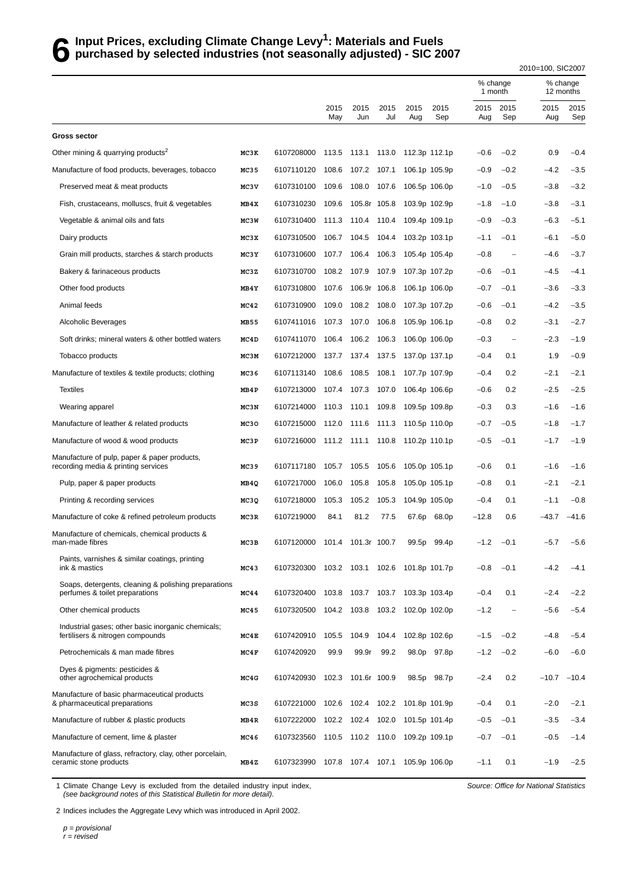## **6** Input Prices, excluding Climate Change Levy<sup>1</sup>: Materials and Fuels<br>**6** purchased by selected industries (not seasonally adjusted) - SIC 2 **purchased by selected industries (not seasonally adjusted) - SIC 2007**

2010=100, SIC2007

|                                                                                        |      |                                            |             |              |             |                           |               | % change<br>1 month |                          |             | % change<br>12 months |  |
|----------------------------------------------------------------------------------------|------|--------------------------------------------|-------------|--------------|-------------|---------------------------|---------------|---------------------|--------------------------|-------------|-----------------------|--|
|                                                                                        |      |                                            | 2015<br>May | 2015<br>Jun  | 2015<br>Jul | 2015<br>Aug               | 2015<br>Sep   | 2015<br>Aug         | 2015<br>Sep              | 2015<br>Aug | 2015<br>Sep           |  |
| <b>Gross sector</b>                                                                    |      |                                            |             |              |             |                           |               |                     |                          |             |                       |  |
| Other mining & quarrying products <sup>2</sup>                                         | MC3K | 6107208000                                 | 113.5       | 113.1 113.0  |             | 112.3p 112.1p             |               | $-0.6$              | $-0.2$                   | 0.9         | $-0.4$                |  |
| Manufacture of food products, beverages, tobacco                                       | MC35 | 6107110120                                 | 108.6       | 107.2        | 107.1       |                           | 106.1p 105.9p | $-0.9$              | $-0.2$                   | $-4.2$      | $-3.5$                |  |
| Preserved meat & meat products                                                         | MC3V | 6107310100                                 | 109.6       | 108.0        | 107.6       |                           | 106.5p 106.0p | $-1.0$              | $-0.5$                   | $-3.8$      | $-3.2$                |  |
| Fish, crustaceans, molluscs, fruit & vegetables                                        | MB4X | 6107310230                                 | 109.6       | 105.8r 105.8 |             |                           | 103.9p 102.9p | $-1.8$              | $-1.0$                   | $-3.8$      | $-3.1$                |  |
| Vegetable & animal oils and fats                                                       | MC3W | 6107310400                                 | 111.3       | 110.4        | 110.4       |                           | 109.4p 109.1p | $-0.9$              | $-0.3$                   | $-6.3$      | $-5.1$                |  |
| Dairy products                                                                         | MC3X | 6107310500                                 | 106.7       | 104.5        | 104.4       |                           | 103.2p 103.1p | $-1.1$              | $-0.1$                   | $-6.1$      | $-5.0$                |  |
| Grain mill products, starches & starch products                                        | MC3Y | 6107310600                                 | 107.7       | 106.4        | 106.3       |                           | 105.4p 105.4p | $-0.8$              | $\overline{a}$           | $-4.6$      | $-3.7$                |  |
| Bakery & farinaceous products                                                          | MC3Z | 6107310700                                 | 108.2       | 107.9        | 107.9       |                           | 107.3p 107.2p | $-0.6$              | $-0.1$                   | $-4.5$      | $-4.1$                |  |
| Other food products                                                                    | MB4Y | 6107310800                                 | 107.6       | 106.9r 106.8 |             |                           | 106.1p 106.0p | $-0.7$              | $-0.1$                   | $-3.6$      | $-3.3$                |  |
| Animal feeds                                                                           | MC42 | 6107310900                                 | 109.0       | 108.2        | 108.0       |                           | 107.3p 107.2p | $-0.6$              | $-0.1$                   | $-4.2$      | $-3.5$                |  |
| Alcoholic Beverages                                                                    | MB55 | 6107411016                                 | 107.3       | 107.0        | 106.8       |                           | 105.9p 106.1p | $-0.8$              | 0.2                      | $-3.1$      | $-2.7$                |  |
| Soft drinks; mineral waters & other bottled waters                                     | MC4D | 6107411070                                 | 106.4       | 106.2        | 106.3       |                           | 106.0p 106.0p | $-0.3$              | $\overline{\phantom{0}}$ | $-2.3$      | $-1.9$                |  |
| Tobacco products                                                                       | MC3M | 6107212000                                 | 137.7       | 137.4        | 137.5       |                           | 137.0p 137.1p | $-0.4$              | 0.1                      | 1.9         | $-0.9$                |  |
| Manufacture of textiles & textile products; clothing                                   | MC36 | 6107113140                                 | 108.6       | 108.5        | 108.1       |                           | 107.7p 107.9p | $-0.4$              | 0.2                      | $-2.1$      | $-2.1$                |  |
| <b>Textiles</b>                                                                        | MB4P | 6107213000                                 | 107.4       | 107.3        | 107.0       |                           | 106.4p 106.6p | $-0.6$              | 0.2                      | $-2.5$      | $-2.5$                |  |
| Wearing apparel                                                                        | MC3N | 6107214000                                 | 110.3       | 110.1        | 109.8       |                           | 109.5p 109.8p | $-0.3$              | 0.3                      | $-1.6$      | $-1.6$                |  |
| Manufacture of leather & related products                                              | MC30 | 6107215000                                 | 112.0       | 111.6        | 111.3       |                           | 110.5p 110.0p | $-0.7$              | $-0.5$                   | $-1.8$      | $-1.7$                |  |
| Manufacture of wood & wood products                                                    | MC3P | 6107216000                                 | 111.2       | 111.1        | 110.8       |                           | 110.2p 110.1p | $-0.5$              | $-0.1$                   | $-1.7$      | $-1.9$                |  |
| Manufacture of pulp, paper & paper products,<br>recording media & printing services    | MC39 | 6107117180                                 | 105.7       | 105.5        | 105.6       |                           | 105.0p 105.1p | $-0.6$              | 0.1                      | $-1.6$      | $-1.6$                |  |
| Pulp, paper & paper products                                                           | MB4Q | 6107217000                                 | 106.0       | 105.8        | 105.8       |                           | 105.0p 105.1p | $-0.8$              | 0.1                      | $-2.1$      | $-2.1$                |  |
| Printing & recording services                                                          | MC3Q | 6107218000                                 | 105.3       | 105.2        | 105.3       |                           | 104.9p 105.0p | $-0.4$              | 0.1                      | $-1.1$      | $-0.8$                |  |
| Manufacture of coke & refined petroleum products                                       | MC3R | 6107219000                                 | 84.1        | 81.2         | 77.5        | 67.6p                     | 68.0p         | $-12.8$             | 0.6                      | -43.7       | $-41.6$               |  |
| Manufacture of chemicals, chemical products &<br>man-made fibres                       | MC3B | 6107120000                                 | 101.4       | 101.3r 100.7 |             | 99.5p                     | 99.4p         | $-1.2$              | $-0.1$                   | $-5.7$      | $-5.6$                |  |
| Paints, varnishes & similar coatings, printing<br>ink & mastics                        | MC43 | 6107320300 103.2 103.1 102.6 101.8p 101.7p |             |              |             |                           |               | $-0.8$              | $-0.1$                   | $-4.2$      | $-4.1$                |  |
| Soaps, detergents, cleaning & polishing preparations<br>perfumes & toilet preparations | MC44 | 6107320400                                 | 103.8       |              |             | 103.7 103.7 103.3p 103.4p |               | $-0.4$              | 0.1                      | $-2.4$      | $-2.2$                |  |
| Other chemical products                                                                | MC45 | 6107320500 104.2 103.8 103.2 102.0p 102.0p |             |              |             |                           |               | $-1.2$              | $\qquad \qquad -$        | $-5.6$      | $-5.4$                |  |
| Industrial gases; other basic inorganic chemicals;<br>fertilisers & nitrogen compounds | MC4E | 6107420910                                 | 105.5       | 104.9        | 104.4       | 102.8p 102.6p             |               | $-1.5$              | $-0.2$                   | $-4.8$      | $-5.4$                |  |
| Petrochemicals & man made fibres                                                       | MC4F | 6107420920                                 | 99.9        | 99.9r        | 99.2        |                           | 98.0p 97.8p   | $-1.2$              | $-0.2$                   | $-6.0$      | $-6.0$                |  |
| Dyes & pigments: pesticides &<br>other agrochemical products                           | MC4G | 6107420930                                 | 102.3       | 101.6r 100.9 |             | 98.5p                     | 98.7p         | $-2.4$              | 0.2                      | $-10.7$     | $-10.4$               |  |
| Manufacture of basic pharmaceutical products<br>& pharmaceutical preparations          | MC3S | 6107221000                                 | 102.6       | 102.4        | 102.2       |                           | 101.8p 101.9p | $-0.4$              | 0.1                      | $-2.0$      | $-2.1$                |  |
| Manufacture of rubber & plastic products                                               | MB4R | 6107222000                                 | 102.2       | 102.4        | 102.0       |                           | 101.5p 101.4p | $-0.5$              | $-0.1$                   | $-3.5$      | $-3.4$                |  |
| Manufacture of cement, lime & plaster                                                  | MC46 | 6107323560 110.5 110.2 110.0               |             |              |             | 109.2p 109.1p             |               | $-0.7$              | $-0.1$                   | $-0.5$      | $-1.4$                |  |
| Manufacture of glass, refractory, clay, other porcelain,<br>ceramic stone products     | MB4Z | 6107323990 107.8 107.4 107.1 105.9p 106.0p |             |              |             |                           |               | $-1.1$              | 0.1                      | $-1.9$      | $-2.5$                |  |

1 Climate Change Levy is excluded from the detailed industry input index, *(see background notes of this Statistical Bulletin for more detail)*.

*Source: Office for National Statistics*

2 Indices includes the Aggregate Levy which was introduced in April 2002.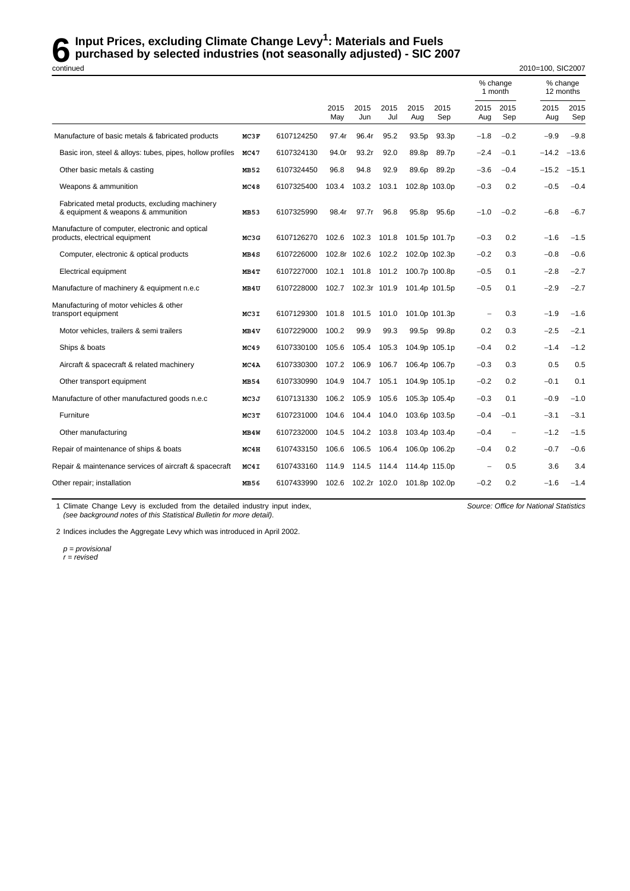## **6** Input Prices, excluding Climate Change Levy<sup>1</sup>: Materials and Fuels<br>purchased by selected industries (not seasonally adjusted) - SIC 20<br>pontinued **purchased by selected industries (not seasonally adjusted) - SIC 2007**

% change % change<br>1 month 12 months 12 months 2015 2015 2015 2015 2015 2015 2015 2015 2015 May Jun Jul Aug Sep Aug Sep Aug Sep Manufacture of basic metals & fabricated products MC3F 6107124250 97.4r 96.4r 95.2 93.5p 93.3p −1.8 −0.2 −9.9 −9.8 Basic iron, steel & alloys: tubes, pipes, hollow profiles **MC47** 6107324130 94.0r 93.2r 92.0 89.8p 89.7p −2.4 −0.1 -14.2 −13.6 Other basic metals & casting **MB52** 6107324450 96.8 94.8 92.9 89.6p 89.2p −3.6 −0.4 −15.2 −15.1 Weapons & ammunition **MC48** 6107325400 103.4 103.2 103.1 102.8p 103.0p −0.3 0.2 −0.5 −0.4 Fabricated metal products, excluding machinery & equipment & weapons & ammunition **MB53** 6107325990 98.4r 97.7r 96.8 95.8p 95.6p −1.0 −0.2 −6.8 −6.7 Manufacture of computer, electronic and optical products, electr ical equipment **MC3G** 6107126270 102.6 102.3 101.8 101.5p 101.7p −0.3 0.2 −1.6 −1.5 Computer, electronic & optical products **MB4S** 6107226000 102.8r 102.6 102.2 102.0p 102.3p −0.2 0.3 −0.8 −0.6 Electr ical equipment **MB4T** 6107227000 102.1 101.8 101.2 100.7p 100.8p −0.5 0.1 −2.8 −2.7 Manufacture of machinery & equipment n.e.c **MB4U** 6107228000 102.7 102.3r 101.9 101.4p 101.5p −0.5 0.1 −2.9 −2.7 Manufacturing of motor vehicles & other transport equipment **MC3I** 6107129300 101.8 101.5 101.0 101.0p 101.3p − 0.3 −1.9 −1.6 Motor vehicles, trailers & semi trailers **MB4V** 6107229000 100.2 99.9 99.3 99.5p 99.8p 0.2 0.3 −2.5 −2.1 Ships & boats **MC49** 6107330100 105.6 105.4 105.3 104.9p 105.1p −0.4 0.2 −1.4 −1.2 Aircraft & spacecraft & related machinery **MC4A** 6107330300 107.2 106.9 106.7 106.4p 106.7p −0.3 0.3 0.5 0.5 Other transport equipment **MB54** 6107330990 104.9 104.7 105.1 104.9p 105.1p −0.2 0.2 −0.1 0.1 Manufacture of other manufactured goods n.e.c **MC3J** 6107131330 106.2 105.9 105.6 105.3p 105.4p −0.3 0.1 −0.9 −1.0 Fur niture **MC3T** 6107231000 104.6 104.4 104.0 103.6p 103.5p −0.4 −0.1 −3.1 −3.1 Other manufacturing **MB4W** 6107232000 104.5 104.2 103.8 103.4p −0.4 − −1.2 −1.5 Repair of maintenance of ships & boats **MC4H** 6107433150 106.6 106.5 106.4 106.0p 106.2p −0.4 0.2 −0.7 −0.6 Repair & maintenance services of aircraft & spacecraft **MC41** 6107433160 114.9 114.5 114.4 114.4p 115.0p - 0.5 3.6 3.4 Other repair; installation **MB56** 6107433990 102.6 102.2r 102.0 101.8p 102.0p −0.2 0.2 −1.6 −1.4

2010=100, SIC2007

*Source: Office for National Statistics*

1 Climate Change Levy is excluded from the detailed industry input index, *(see background notes of this Statistical Bulletin for more detail)*.

2 Indices includes the Aggregate Levy which was introduced in April 2002.

*p = provisional r = revised*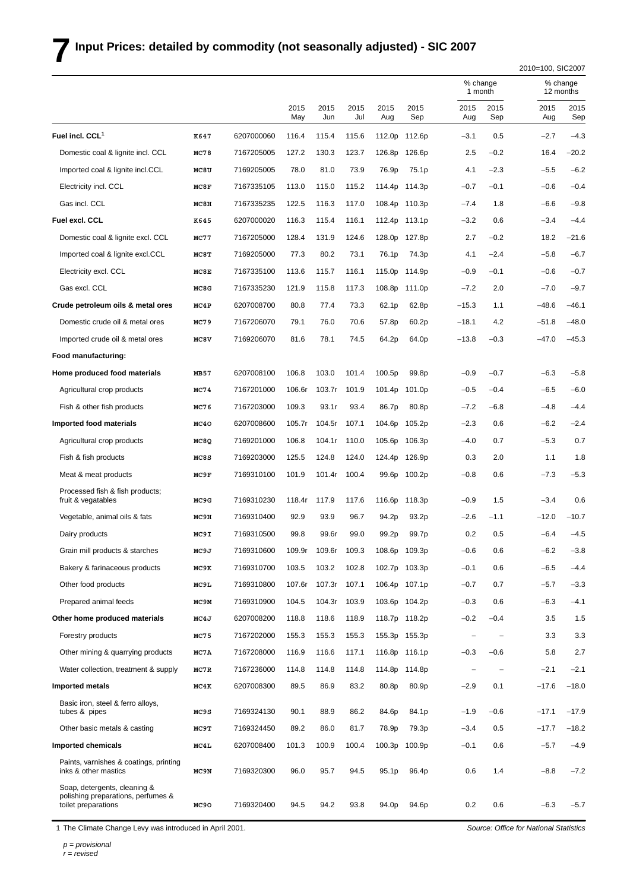## **7Input Prices: detailed by commodity (not seasonally adjusted) - SIC 2007**

|                                                                                           |             |            |             |             |             |             |                    |             |                     | 2010=100, SIC2007 |                       |
|-------------------------------------------------------------------------------------------|-------------|------------|-------------|-------------|-------------|-------------|--------------------|-------------|---------------------|-------------------|-----------------------|
|                                                                                           |             |            |             |             |             |             |                    |             | % change<br>1 month |                   | % change<br>12 months |
|                                                                                           |             |            | 2015<br>May | 2015<br>Jun | 2015<br>Jul | 2015<br>Aug | 2015<br>Sep        | 2015<br>Aug | 2015<br>Sep         | 2015<br>Aug       | 2015<br>Sep           |
| Fuel incl. CCL <sup>1</sup>                                                               | K647        | 6207000060 | 116.4       | 115.4       | 115.6       | 112.0p      | 112.6p             | $-3.1$      | 0.5                 | $-2.7$            | $-4.3$                |
| Domestic coal & lignite incl. CCL                                                         | <b>MC78</b> | 7167205005 | 127.2       | 130.3       | 123.7       | 126.8p      | 126.6p             | 2.5         | $-0.2$              | 16.4              | $-20.2$               |
| Imported coal & lignite incl.CCL                                                          | MC8U        | 7169205005 | 78.0        | 81.0        | 73.9        | 76.9p       | 75.1 <sub>p</sub>  | 4.1         | $-2.3$              | $-5.5$            | $-6.2$                |
| Electricity incl. CCL                                                                     | MC8F        | 7167335105 | 113.0       | 115.0       | 115.2       | 114.4p      | 114.3p             | $-0.7$      | $-0.1$              | $-0.6$            | $-0.4$                |
| Gas incl. CCL                                                                             | MC8H        | 7167335235 | 122.5       | 116.3       | 117.0       | 108.4p      | 110.3p             | $-7.4$      | 1.8                 | $-6.6$            | $-9.8$                |
| Fuel excl. CCL                                                                            | K645        | 6207000020 | 116.3       | 115.4       | 116.1       | 112.4p      | 113.1p             | $-3.2$      | 0.6                 | $-3.4$            | $-4.4$                |
| Domestic coal & lignite excl. CCL                                                         | MC77        | 7167205000 | 128.4       | 131.9       | 124.6       | 128.0p      | 127.8p             | 2.7         | $-0.2$              | 18.2              | $-21.6$               |
| Imported coal & lignite excl.CCL                                                          | MC8T        | 7169205000 | 77.3        | 80.2        | 73.1        | 76.1p       | 74.3p              | 4.1         | $-2.4$              | $-5.8$            | $-6.7$                |
| Electricity excl. CCL                                                                     | MC8E        | 7167335100 | 113.6       | 115.7       | 116.1       | 115.0p      | 114.9p             | $-0.9$      | $-0.1$              | $-0.6$            | $-0.7$                |
| Gas excl. CCL                                                                             | MC8G        | 7167335230 | 121.9       | 115.8       | 117.3       | 108.8p      | 111.0p             | $-7.2$      | 2.0                 | $-7.0$            | $-9.7$                |
| Crude petroleum oils & metal ores                                                         | MC4P        | 6207008700 | 80.8        | 77.4        | 73.3        | 62.1p       | 62.8p              | $-15.3$     | 1.1                 | $-48.6$           | $-46.1$               |
| Domestic crude oil & metal ores                                                           | MC79        | 7167206070 | 79.1        | 76.0        | 70.6        | 57.8p       | 60.2p              | $-18.1$     | 4.2                 | $-51.8$           | $-48.0$               |
| Imported crude oil & metal ores                                                           | MC8V        | 7169206070 | 81.6        | 78.1        | 74.5        | 64.2p       | 64.0p              | $-13.8$     | $-0.3$              | $-47.0$           | $-45.3$               |
| Food manufacturing:                                                                       |             |            |             |             |             |             |                    |             |                     |                   |                       |
| Home produced food materials                                                              | MB57        | 6207008100 | 106.8       | 103.0       | 101.4       | 100.5p      | 99.8p              | $-0.9$      | $-0.7$              | $-6.3$            | $-5.8$                |
| Agricultural crop products                                                                | MC74        | 7167201000 | 106.6r      | 103.7r      | 101.9       | 101.4p      | 101.0p             | $-0.5$      | $-0.4$              | $-6.5$            | $-6.0$                |
| Fish & other fish products                                                                | MC76        | 7167203000 | 109.3       | 93.1r       | 93.4        | 86.7p       | 80.8p              | $-7.2$      | $-6.8$              | $-4.8$            | $-4.4$                |
| Imported food materials                                                                   | MC40        | 6207008600 | 105.7r      | 104.5r      | 107.1       | 104.6p      | 105.2p             | $-2.3$      | 0.6                 | $-6.2$            | $-2.4$                |
| Agricultural crop products                                                                | MC8Q        | 7169201000 | 106.8       | 104.1r      | 110.0       | 105.6p      | 106.3p             | -4.0        | 0.7                 | $-5.3$            | 0.7                   |
| Fish & fish products                                                                      | MC8S        | 7169203000 | 125.5       | 124.8       | 124.0       | 124.4p      | 126.9p             | 0.3         | 2.0                 | 1.1               | 1.8                   |
| Meat & meat products                                                                      | MC9F        | 7169310100 | 101.9       | 101.4r      | 100.4       | 99.6p       | 100.2p             | $-0.8$      | 0.6                 | $-7.3$            | $-5.3$                |
| Processed fish & fish products;<br>fruit & vegatables                                     | MC9G        | 7169310230 | 118.4r      | 117.9       | 117.6       | 116.6p      | 118.3 <sub>p</sub> | $-0.9$      | 1.5                 | $-3.4$            | 0.6                   |
| Vegetable, animal oils & fats                                                             | MC9H        | 7169310400 | 92.9        | 93.9        | 96.7        | 94.2p       | 93.2p              | $-2.6$      | $-1.1$              | $-12.0$           | $-10.7$               |
| Dairy products                                                                            | MC9I        | 7169310500 | 99.8        | 99.6r       | 99.0        | 99.2p       | 99.7p              | 0.2         | 0.5                 | -6.4              | $-4.5$                |
| Grain mill products & starches                                                            | MC9J        | 7169310600 | 109.9r      | 109.6r      | 109.3       |             | 108.6p 109.3p      | $-0.6$      | 0.6                 | $-6.2$            | $-3.8$                |
| Bakery & farinaceous products                                                             | MC9K        | 7169310700 | 103.5       | 103.2       | 102.8       |             | 102.7p 103.3p      | $-0.1$      | 0.6                 | $-6.5$            | $-4.4$                |
| Other food products                                                                       | MC9L        | 7169310800 | 107.6r      | 107.3r      | 107.1       |             | 106.4p 107.1p      | $-0.7$      | 0.7                 | $-5.7$            | $-3.3$                |
| Prepared animal feeds                                                                     | MC9M        | 7169310900 | 104.5       | 104.3r      | 103.9       |             | 103.6p 104.2p      | $-0.3$      | 0.6                 | $-6.3$            | $-4.1$                |
| Other home produced materials                                                             | MC4J        | 6207008200 | 118.8       | 118.6       | 118.9       |             | 118.7p 118.2p      | $-0.2$      | $-0.4$              | 3.5               | 1.5                   |
| Forestry products                                                                         | MC75        | 7167202000 | 155.3       | 155.3       | 155.3       |             | 155.3p 155.3p      |             |                     | 3.3               | 3.3                   |
| Other mining & quarrying products                                                         | MC7A        | 7167208000 | 116.9       | 116.6       | 117.1       |             | 116.8p 116.1p      | $-0.3$      | $-0.6$              | 5.8               | 2.7                   |
| Water collection, treatment & supply                                                      | MC7R        | 7167236000 | 114.8       | 114.8       | 114.8       |             | 114.8p 114.8p      |             |                     | $-2.1$            | $-2.1$                |
| <b>Imported metals</b>                                                                    | MC4K        | 6207008300 | 89.5        | 86.9        | 83.2        | 80.8p       | 80.9p              | $-2.9$      | 0.1                 | $-17.6$           | $-18.0$               |
| Basic iron, steel & ferro alloys,<br>tubes & pipes                                        | MC9S        | 7169324130 | 90.1        | 88.9        | 86.2        | 84.6p       | 84.1p              | $-1.9$      | $-0.6$              | $-17.1$           | $-17.9$               |
| Other basic metals & casting                                                              | MC9T        | 7169324450 | 89.2        | 86.0        | 81.7        | 78.9p       | 79.3p              | $-3.4$      | 0.5                 | $-17.7$           | $-18.2$               |
| <b>Imported chemicals</b>                                                                 | MC4L        | 6207008400 | 101.3       | 100.9       | 100.4       | 100.3p      | 100.9p             | $-0.1$      | 0.6                 | $-5.7$            | $-4.9$                |
| Paints, varnishes & coatings, printing<br>inks & other mastics                            | MC9N        | 7169320300 | 96.0        | 95.7        | 94.5        | 95.1p       | 96.4p              | 0.6         | 1.4                 | $-8.8$            | $-7.2$                |
| Soap, detergents, cleaning &<br>polishing preparations, perfumes &<br>toilet preparations | MC90        | 7169320400 | 94.5        | 94.2        | 93.8        | 94.0p       | 94.6p              | 0.2         | 0.6                 | $-6.3$            | $-5.7$                |

1 The Climate Change Levy was introduced in April 2001.

*p = provisional r = revised*

*Source: Office for National Statistics*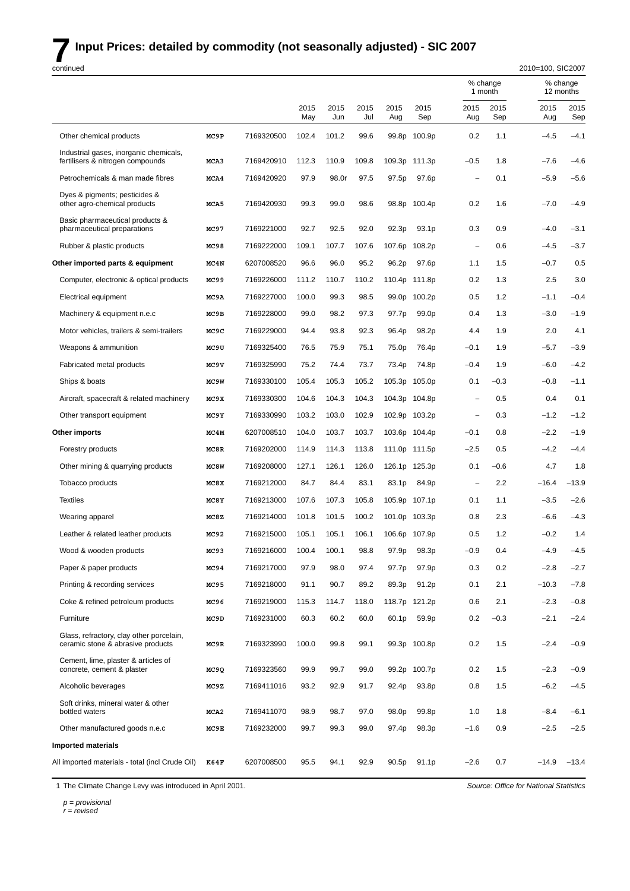# **7** Input Prices: detailed by commodity (not seasonally adjusted) - SIC 2007

| continued                                                                     |                   |            |             |             |             |                    |                   |                          |                     | 2010=100, SIC2007 |                       |
|-------------------------------------------------------------------------------|-------------------|------------|-------------|-------------|-------------|--------------------|-------------------|--------------------------|---------------------|-------------------|-----------------------|
|                                                                               |                   |            |             |             |             |                    |                   |                          | % change<br>1 month |                   | % change<br>12 months |
|                                                                               |                   |            | 2015<br>May | 2015<br>Jun | 2015<br>Jul | 2015<br>Aug        | 2015<br>Sep       | 2015<br>Aug              | 2015<br>Sep         | 2015<br>Aug       | 2015<br>Sep           |
| Other chemical products                                                       | MC9P              | 7169320500 | 102.4       | 101.2       | 99.6        | 99.8p              | 100.9p            | 0.2                      | 1.1                 | $-4.5$            | $-4.1$                |
| Industrial gases, inorganic chemicals,<br>fertilisers & nitrogen compounds    | MCA3              | 7169420910 | 112.3       | 110.9       | 109.8       | 109.3p             | 111.3p            | $-0.5$                   | 1.8                 | $-7.6$            | $-4.6$                |
| Petrochemicals & man made fibres                                              | MCA4              | 7169420920 | 97.9        | 98.0r       | 97.5        | 97.5p              | 97.6p             | L.                       | 0.1                 | $-5.9$            | $-5.6$                |
| Dyes & pigments; pesticides &<br>other agro-chemical products                 | MCA5              | 7169420930 | 99.3        | 99.0        | 98.6        | 98.8p              | 100.4p            | 0.2                      | 1.6                 | $-7.0$            | $-4.9$                |
| Basic pharmaceutical products &<br>pharmaceutical preparations                | MC97              | 7169221000 | 92.7        | 92.5        | 92.0        | 92.3p              | 93.1 <sub>p</sub> | 0.3                      | 0.9                 | $-4.0$            | $-3.1$                |
| Rubber & plastic products                                                     | MC98              | 7169222000 | 109.1       | 107.7       | 107.6       | 107.6p             | 108.2p            | $\overline{\phantom{0}}$ | 0.6                 | $-4.5$            | $-3.7$                |
| Other imported parts & equipment                                              | MC4N              | 6207008520 | 96.6        | 96.0        | 95.2        | 96.2p              | 97.6p             | 1.1                      | 1.5                 | $-0.7$            | 0.5                   |
| Computer, electronic & optical products                                       | MC99              | 7169226000 | 111.2       | 110.7       | 110.2       | 110.4p             | 111.8p            | 0.2                      | 1.3                 | 2.5               | 3.0                   |
| Electrical equipment                                                          | MC9A              | 7169227000 | 100.0       | 99.3        | 98.5        | 99.0p              | 100.2p            | 0.5                      | 1.2                 | $-1.1$            | $-0.4$                |
| Machinery & equipment n.e.c                                                   | MC9B              | 7169228000 | 99.0        | 98.2        | 97.3        | 97.7p              | 99.0 <sub>p</sub> | 0.4                      | 1.3                 | $-3.0$            | $-1.9$                |
| Motor vehicles, trailers & semi-trailers                                      | MC9C              | 7169229000 | 94.4        | 93.8        | 92.3        | 96.4p              | 98.2p             | 44                       | 1.9                 | 2.0               | 4.1                   |
| Weapons & ammunition                                                          | MC9U              | 7169325400 | 76.5        | 75.9        | 75.1        | 75.0p              | 76.4p             | $-0.1$                   | 1.9                 | $-5.7$            | $-3.9$                |
| Fabricated metal products                                                     | MC9V              | 7169325990 | 75.2        | 74.4        | 73.7        | 73.4p              | 74.8p             | $-0.4$                   | 1.9                 | $-6.0$            | $-4.2$                |
| Ships & boats                                                                 | MC <sub>9</sub> W | 7169330100 | 105.4       | 105.3       | 105.2       | 105.3p             | 105.0p            | 0.1                      | $-0.3$              | $-0.8$            | $-1.1$                |
| Aircraft, spacecraft & related machinery                                      | MC9X              | 7169330300 | 104.6       | 104.3       | 104.3       | 104.3p             | 104.8p            | $\overline{\phantom{0}}$ | 0.5                 | 0.4               | 0.1                   |
| Other transport equipment                                                     | MC9Y              | 7169330990 | 103.2       | 103.0       | 102.9       | 102.9p             | 103.2p            | L.                       | 0.3                 | $-1.2$            | $-1.2$                |
| Other imports                                                                 | MC4M              | 6207008510 | 104.0       | 103.7       | 103.7       | 103.6p             | 104.4p            | $-0.1$                   | 0.8                 | $-2.2$            | $-1.9$                |
| Forestry products                                                             | MC8R              | 7169202000 | 114.9       | 114.3       | 113.8       | 111.0p             | 111.5p            | $-2.5$                   | 0.5                 | $-4.2$            | $-4.4$                |
| Other mining & quarrying products                                             | MC8W              | 7169208000 | 127.1       | 126.1       | 126.0       | 126.1p             | 125.3p            | 0.1                      | $-0.6$              | 4.7               | 1.8                   |
| Tobacco products                                                              | MC8X              | 7169212000 | 84.7        | 84.4        | 83.1        | 83.1p              | 84.9p             |                          | 2.2                 | $-16.4$           | $-13.9$               |
| <b>Textiles</b>                                                               | MC8Y              | 7169213000 | 107.6       | 107.3       | 105.8       | 105.9p             | 107.1p            | 0.1                      | 1.1                 | $-3.5$            | $-2.6$                |
| Wearing apparel                                                               | MC8Z              | 7169214000 | 101.8       | 101.5       | 100.2       | 101.0 <sub>p</sub> | 103.3p            | 0.8                      | 2.3                 | $-6.6$            | $-4.3$                |
| Leather & related leather products                                            | MC92              | 7169215000 | 105.1       | 105.1       | 106.1       | 106.6p             | 107.9p            | 0.5                      | 1.2                 | $-0.2$            | 1.4                   |
| Wood & wooden products                                                        | MC93              | 7169216000 | 100.4       | 100.1       | 98.8        | 97.9p              | 98.3p             | $-0.9$                   | 0.4                 | $-4.9$            | $-4.5$                |
| Paper & paper products                                                        | MC94              | 7169217000 | 97.9        | 98.0        | 97.4        | 97.7p              | 97.9p             | 0.3                      | 0.2                 | $-2.8$            | $-2.7$                |
| Printing & recording services                                                 | MC95              | 7169218000 | 91.1        | 90.7        | 89.2        | 89.3p              | 91.2p             | 0.1                      | 2.1                 | $-10.3$           | $-7.8$                |
| Coke & refined petroleum products                                             | MC96              | 7169219000 | 115.3       | 114.7       | 118.0       | 118.7p             | 121.2p            | 0.6                      | 2.1                 | $-2.3$            | $-0.8$                |
| Furniture                                                                     | MC9D              | 7169231000 | 60.3        | 60.2        | 60.0        | 60.1p              | 59.9p             | 0.2                      | $-0.3$              | $-2.1$            | $-2.4$                |
| Glass, refractory, clay other porcelain,<br>ceramic stone & abrasive products | MC9R              | 7169323990 | 100.0       | 99.8        | 99.1        | 99.3p              | 100.8p            | 0.2                      | 1.5                 | $-2.4$            | $-0.9$                |
| Cement, lime, plaster & articles of<br>concrete, cement & plaster             | MC9Q              | 7169323560 | 99.9        | 99.7        | 99.0        | 99.2p              | 100.7p            | 0.2                      | 1.5                 | $-2.3$            | $-0.9$                |
| Alcoholic beverages                                                           | MC9Z              | 7169411016 | 93.2        | 92.9        | 91.7        | 92.4p              | 93.8p             | 0.8                      | 1.5                 | $-6.2$            | $-4.5$                |
| Soft drinks, mineral water & other<br>bottled waters                          | MCA <sub>2</sub>  | 7169411070 | 98.9        | 98.7        | 97.0        | 98.0p              | 99.8p             | 1.0                      | 1.8                 | $-8.4$            | $-6.1$                |
| Other manufactured goods n.e.c                                                | MC9E              | 7169232000 | 99.7        | 99.3        | 99.0        | 97.4p              | 98.3p             | $-1.6$                   | 0.9                 | $-2.5$            | $-2.5$                |
| <b>Imported materials</b>                                                     |                   |            |             |             |             |                    |                   |                          |                     |                   |                       |
| All imported materials - total (incl Crude Oil)                               | K64F              | 6207008500 | 95.5        | 94.1        | 92.9        | 90.5p              | 91.1p             | $-2.6$                   | 0.7                 | $-14.9$           | $-13.4$               |

1 The Climate Change Levy was introduced in April 2001.

*Source: Office for National Statistics*

*p = provisional*

*r = revised*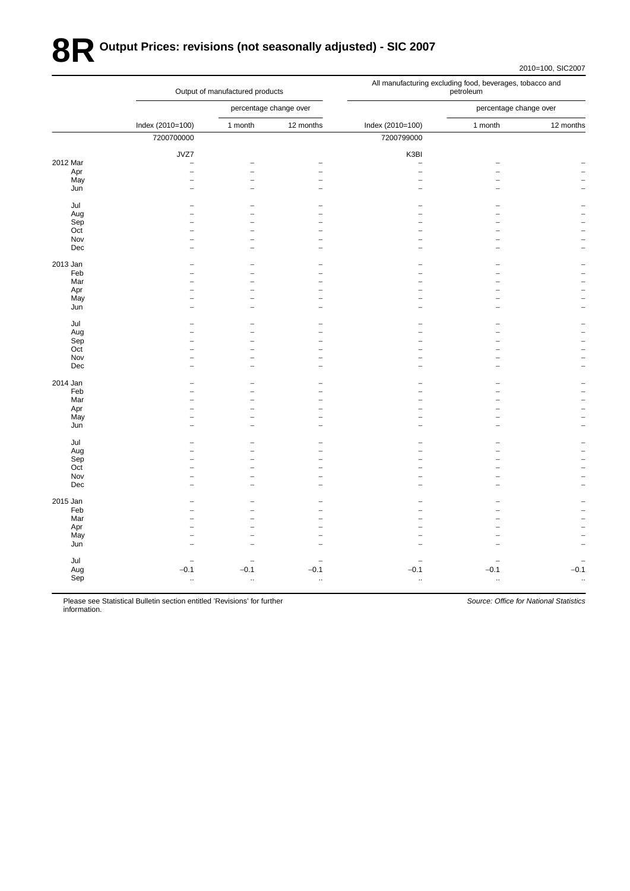# **8R Output Prices: revisions (not seasonally adjusted) - SIC 2007**

|          |                          | Output of manufactured products |                        | All manufacturing excluding food, beverages, tobacco and<br>petroleum |                        |                      |  |  |  |
|----------|--------------------------|---------------------------------|------------------------|-----------------------------------------------------------------------|------------------------|----------------------|--|--|--|
|          |                          |                                 | percentage change over |                                                                       | percentage change over |                      |  |  |  |
|          | Index (2010=100)         | 1 month                         | 12 months              | Index (2010=100)                                                      | 1 month                | 12 months            |  |  |  |
|          | 7200700000               |                                 |                        | 7200799000                                                            |                        |                      |  |  |  |
|          | JVZ7                     |                                 |                        | K3BI                                                                  |                        |                      |  |  |  |
| 2012 Mar | $\overline{\phantom{0}}$ |                                 |                        | $\overline{\phantom{a}}$                                              |                        |                      |  |  |  |
| Apr      | $\overline{\phantom{0}}$ | $\overline{\phantom{0}}$        |                        | $\overline{a}$                                                        |                        |                      |  |  |  |
| May      |                          | $\overline{a}$                  |                        |                                                                       |                        |                      |  |  |  |
| Jun      |                          |                                 |                        |                                                                       |                        |                      |  |  |  |
| Jul      |                          |                                 |                        |                                                                       |                        |                      |  |  |  |
| Aug      |                          |                                 |                        |                                                                       |                        |                      |  |  |  |
| Sep      |                          |                                 |                        |                                                                       |                        |                      |  |  |  |
| Oct      |                          | $\equiv$                        |                        |                                                                       |                        |                      |  |  |  |
| Nov      |                          | L.                              |                        |                                                                       |                        |                      |  |  |  |
| Dec      |                          | $\overline{\phantom{0}}$        |                        |                                                                       |                        |                      |  |  |  |
| 2013 Jan |                          |                                 |                        |                                                                       |                        |                      |  |  |  |
| Feb      |                          | $\overline{\phantom{0}}$        |                        |                                                                       |                        |                      |  |  |  |
| Mar      |                          | $\overline{\phantom{0}}$        |                        |                                                                       |                        |                      |  |  |  |
|          |                          | $\overline{\phantom{0}}$        |                        |                                                                       |                        |                      |  |  |  |
| Apr      |                          | $\overline{\phantom{0}}$        |                        |                                                                       |                        |                      |  |  |  |
| May      |                          |                                 |                        |                                                                       |                        |                      |  |  |  |
| Jun      |                          | $\overline{\phantom{0}}$        |                        |                                                                       |                        |                      |  |  |  |
| Jul      |                          |                                 |                        |                                                                       |                        |                      |  |  |  |
| Aug      |                          | $\overline{\phantom{0}}$        |                        |                                                                       |                        |                      |  |  |  |
| Sep      |                          |                                 |                        |                                                                       |                        |                      |  |  |  |
| Oct      |                          | $\overline{\phantom{0}}$        |                        |                                                                       |                        |                      |  |  |  |
| Nov      |                          | $\overline{\phantom{0}}$        |                        |                                                                       |                        |                      |  |  |  |
| Dec      |                          | L.                              |                        |                                                                       |                        |                      |  |  |  |
| 2014 Jan |                          | ۰                               |                        |                                                                       |                        |                      |  |  |  |
| Feb      |                          | ۳                               |                        |                                                                       |                        |                      |  |  |  |
| Mar      |                          | L                               |                        |                                                                       |                        |                      |  |  |  |
| Apr      |                          |                                 |                        |                                                                       |                        |                      |  |  |  |
| May      |                          | $\overline{\phantom{0}}$        |                        |                                                                       |                        |                      |  |  |  |
| Jun      |                          | $\overline{\phantom{0}}$        |                        |                                                                       |                        |                      |  |  |  |
|          |                          |                                 |                        |                                                                       |                        |                      |  |  |  |
| Jul      |                          |                                 |                        |                                                                       |                        |                      |  |  |  |
| Aug      |                          |                                 |                        |                                                                       |                        |                      |  |  |  |
| Sep      |                          |                                 |                        |                                                                       |                        |                      |  |  |  |
| Oct      |                          |                                 |                        |                                                                       |                        |                      |  |  |  |
| Nov      |                          | $\overline{\phantom{0}}$        |                        |                                                                       |                        |                      |  |  |  |
| Dec      |                          | $\overline{\phantom{0}}$        |                        |                                                                       |                        |                      |  |  |  |
| 2015 Jan |                          |                                 |                        |                                                                       |                        |                      |  |  |  |
| Feb      |                          |                                 |                        |                                                                       |                        |                      |  |  |  |
| Mar      |                          | $\equiv$                        |                        |                                                                       |                        |                      |  |  |  |
| Apr      |                          | $\overline{\phantom{0}}$        |                        |                                                                       |                        |                      |  |  |  |
| May      |                          | $\equiv$                        |                        |                                                                       |                        |                      |  |  |  |
| Jun      |                          |                                 |                        |                                                                       |                        |                      |  |  |  |
|          |                          |                                 |                        |                                                                       |                        |                      |  |  |  |
| Jul      |                          |                                 |                        |                                                                       |                        |                      |  |  |  |
| Aug      | $-0.1$                   | $-0.1$                          | $-0.1$                 | $-0.1$                                                                | $-0.1$                 | $-0.1$               |  |  |  |
| Sep      | $\ddotsc$                | $\ddotsc$                       | ă,                     | $\ddotsc$                                                             | $\ddotsc$              | $\ddot{\phantom{a}}$ |  |  |  |
|          |                          |                                 |                        |                                                                       |                        |                      |  |  |  |

Please see Statistical Bulletin section entitled 'Revisions' for further infor mation.

*Source: Office for National Statistics*